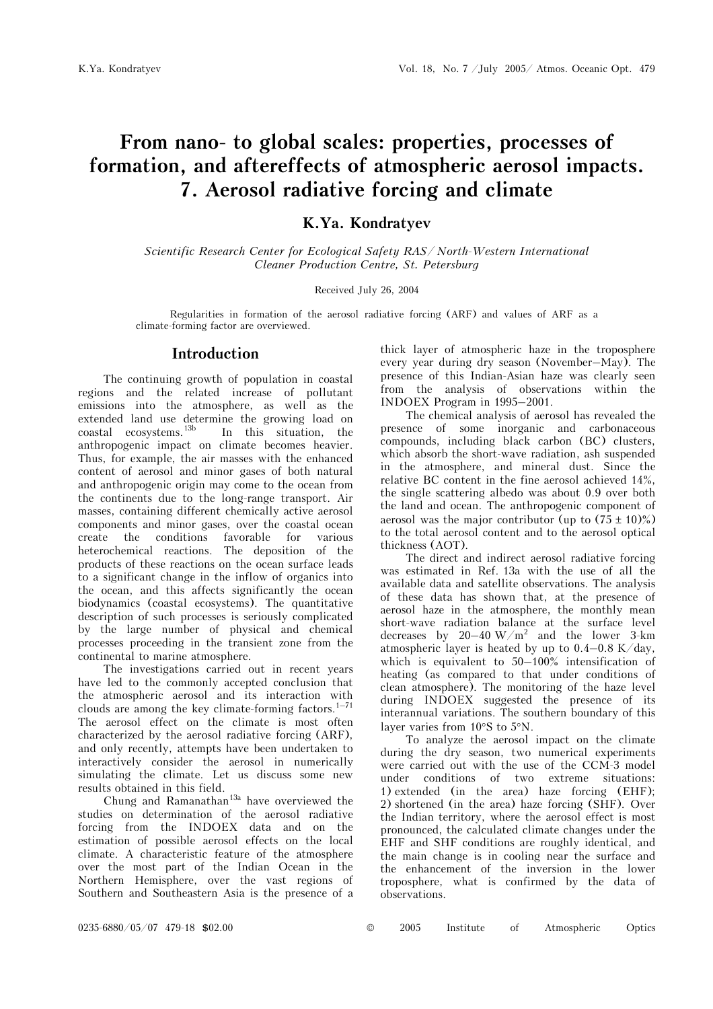# **From nano- to global scales: properties, processes of formation, and aftereffects of atmospheric aerosol impacts. 7. Aerosol radiative forcing and climate**

### **K.Ya. Kondratyev**

*Scientific Research Center for Ecological Safety RAS/ North-Western International Cleaner Production Centre, St. Petersburg* 

#### Received July 26, 2004

Regularities in formation of the aerosol radiative forcing (ARF) and values of ARF as a climate-forming factor are overviewed.

#### **Introduction**

The continuing growth of population in coastal regions and the related increase of pollutant emissions into the atmosphere, as well as the extended land use determine the growing load on coastal ecosystems.13b In this situation, the anthropogenic impact on climate becomes heavier. Thus, for example, the air masses with the enhanced content of aerosol and minor gases of both natural and anthropogenic origin may come to the ocean from the continents due to the long-range transport. Air masses, containing different chemically active aerosol components and minor gases, over the coastal ocean create the conditions favorable for various heterochemical reactions. The deposition of the products of these reactions on the ocean surface leads to a significant change in the inflow of organics into the ocean, and this affects significantly the ocean biodynamics (coastal ecosystems). The quantitative description of such processes is seriously complicated by the large number of physical and chemical processes proceeding in the transient zone from the continental to marine atmosphere.

The investigations carried out in recent years have led to the commonly accepted conclusion that the atmospheric aerosol and its interaction with clouds are among the key climate-forming factors. $1-71$ The aerosol effect on the climate is most often characterized by the aerosol radiative forcing (ARF), and only recently, attempts have been undertaken to interactively consider the aerosol in numerically simulating the climate. Let us discuss some new results obtained in this field.

Chung and Ramanathan<sup>13a</sup> have overviewed the studies on determination of the aerosol radiative forcing from the INDOEX data and on the estimation of possible aerosol effects on the local climate. A characteristic feature of the atmosphere over the most part of the Indian Ocean in the Northern Hemisphere, over the vast regions of Southern and Southeastern Asia is the presence of a thick layer of atmospheric haze in the troposphere every year during dry season (November–May). The presence of this Indian-Asian haze was clearly seen from the analysis of observations within the INDOEX Program in 1995–2001.

The chemical analysis of aerosol has revealed the presence of some inorganic and carbonaceous compounds, including black carbon (BC) clusters, which absorb the short-wave radiation, ash suspended in the atmosphere, and mineral dust. Since the relative BC content in the fine aerosol achieved 14%, the single scattering albedo was about 0.9 over both the land and ocean. The anthropogenic component of aerosol was the major contributor (up to  $(75 \pm 10)\%$ ) to the total aerosol content and to the aerosol optical thickness (AOT).

The direct and indirect aerosol radiative forcing was estimated in Ref. 13a with the use of all the available data and satellite observations. The analysis of these data has shown that, at the presence of aerosol haze in the atmosphere, the monthly mean short-wave radiation balance at the surface level decreases by  $20-40 \text{ W/m}^2$  and the lower 3-km atmospheric layer is heated by up to  $0.4-0.8$  K/day, which is equivalent to 50–100% intensification of heating (as compared to that under conditions of clean atmosphere). The monitoring of the haze level during INDOEX suggested the presence of its interannual variations. The southern boundary of this layer varies from 10°S to 5°N.

To analyze the aerosol impact on the climate during the dry season, two numerical experiments were carried out with the use of the CCM-3 model under conditions of two extreme situations: 1) extended (in the area) haze forcing (EHF); 2) shortened (in the area) haze forcing (SHF). Over the Indian territory, where the aerosol effect is most pronounced, the calculated climate changes under the EHF and SHF conditions are roughly identical, and the main change is in cooling near the surface and the enhancement of the inversion in the lower troposphere, what is confirmed by the data of observations.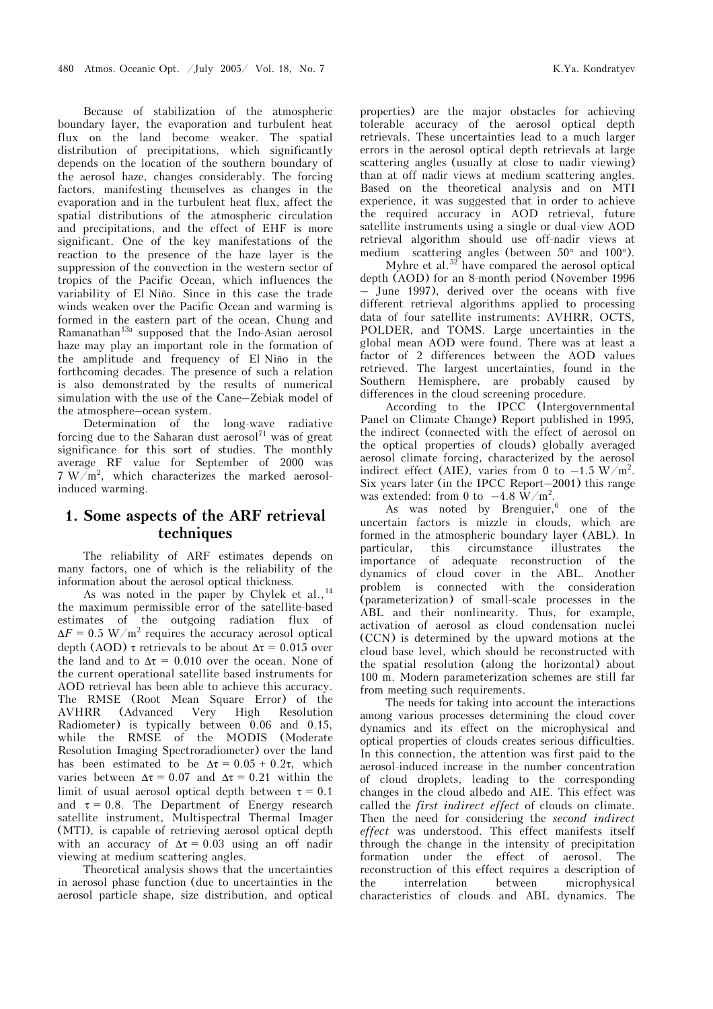Because of stabilization of the atmospheric boundary layer, the evaporation and turbulent heat flux on the land become weaker. The spatial distribution of precipitations, which significantly depends on the location of the southern boundary of the aerosol haze, changes considerably. The forcing factors, manifesting themselves as changes in the evaporation and in the turbulent heat flux, affect the spatial distributions of the atmospheric circulation and precipitations, and the effect of EHF is more significant. One of the key manifestations of the reaction to the presence of the haze layer is the suppression of the convection in the western sector of tropics of the Pacific Ocean, which influences the variability of El Niño. Since in this case the trade winds weaken over the Pacific Ocean and warming is formed in the eastern part of the ocean, Chung and Ramanathan<sup>13a</sup> supposed that the Indo-Asian aerosol haze may play an important role in the formation of the amplitude and frequency of El Niño in the forthcoming decades. The presence of such a relation is also demonstrated by the results of numerical simulation with the use of the Cane–Zebiak model of the atmosphere–ocean system.

Determination of the long-wave radiative forcing due to the Saharan dust aerosol<sup>71</sup> was of great significance for this sort of studies. The monthly average RF value for September of 2000 was  $7 \text{ W/m}^2$ , which characterizes the marked aerosolinduced warming.

### **1. Some aspects of the ARF retrieval techniques**

The reliability of ARF estimates depends on many factors, one of which is the reliability of the information about the aerosol optical thickness.

As was noted in the paper by Chylek et al.,<sup>14</sup> the maximum permissible error of the satellite-based estimates of the outgoing radiation flux of  $\Delta F = 0.5 \text{ W/m}^2$  requires the accuracy aerosol optical depth (AOD) τ retrievals to be about  $\Delta \tau = 0.015$  over the land and to  $\Delta \tau = 0.010$  over the ocean. None of the current operational satellite based instruments for AOD retrieval has been able to achieve this accuracy. The RMSE (Root Mean Square Error) of the AVHRR (Advanced Very High Resolution Radiometer) is typically between 0.06 and 0.15, while the RMSE of the MODIS (Moderate Resolution Imaging Spectroradiometer) over the land has been estimated to be  $\Delta \tau = 0.05 + 0.2\tau$ , which varies between  $\Delta \tau = 0.07$  and  $\Delta \tau = 0.21$  within the limit of usual aerosol optical depth between  $\tau = 0.1$ and  $\tau = 0.8$ . The Department of Energy research satellite instrument, Multispectral Thermal Imager (MTI), is capable of retrieving aerosol optical depth with an accuracy of  $\Delta \tau = 0.03$  using an off nadir viewing at medium scattering angles.

Theoretical analysis shows that the uncertainties in aerosol phase function (due to uncertainties in the aerosol particle shape, size distribution, and optical properties) are the major obstacles for achieving tolerable accuracy of the aerosol optical depth retrievals. These uncertainties lead to a much larger errors in the aerosol optical depth retrievals at large scattering angles (usually at close to nadir viewing) than at off nadir views at medium scattering angles. Based on the theoretical analysis and on MTI experience, it was suggested that in order to achieve the required accuracy in AOD retrieval, future satellite instruments using a single or dual-view AOD retrieval algorithm should use off-nadir views at medium scattering angles (between 50° and 100°).

Myhre et al.<sup>52</sup> have compared the aerosol optical depth (AOD) for an 8-month period (November 1996 – June 1997), derived over the oceans with five different retrieval algorithms applied to processing data of four satellite instruments: AVHRR, OCTS, POLDER, and TOMS. Large uncertainties in the global mean AOD were found. There was at least a factor of 2 differences between the AOD values retrieved. The largest uncertainties, found in the Southern Hemisphere, are probably caused by differences in the cloud screening procedure.

According to the IPCC (Intergovernmental Panel on Climate Change) Report published in 1995*,*  the indirect (connected with the effect of aerosol on the optical properties of clouds) globally averaged aerosol climate forcing, characterized by the aerosol indirect effect (AIE), varies from 0 to  $-1.5 \text{ W/m}^2$ . Six years later (in the IPCC Report–2001) this range was extended: from 0 to  $-4.8 \text{ W/m}^2$ .

As was noted by Brenguier,<sup>6</sup> one of the uncertain factors is mizzle in clouds, which are formed in the atmospheric boundary layer (ABL). In particular, this circumstance illustrates the importance of adequate reconstruction of the dynamics of cloud cover in the ABL. Another problem is connected with the consideration (parameterization) of small-scale processes in the ABL and their nonlinearity. Thus, for example, activation of aerosol as cloud condensation nuclei (CCN) is determined by the upward motions at the cloud base level, which should be reconstructed with the spatial resolution (along the horizontal) about 100 m. Modern parameterization schemes are still far from meeting such requirements.

The needs for taking into account the interactions among various processes determining the cloud cover dynamics and its effect on the microphysical and optical properties of clouds creates serious difficulties. In this connection, the attention was first paid to the aerosol-induced increase in the number concentration of cloud droplets, leading to the corresponding changes in the cloud albedo and AIE. This effect was called the *first indirect effect* of clouds on climate. Then the need for considering the *second indirect effect* was understood. This effect manifests itself through the change in the intensity of precipitation formation under the effect of aerosol. The reconstruction of this effect requires a description of the interrelation between microphysical characteristics of clouds and ABL dynamics. The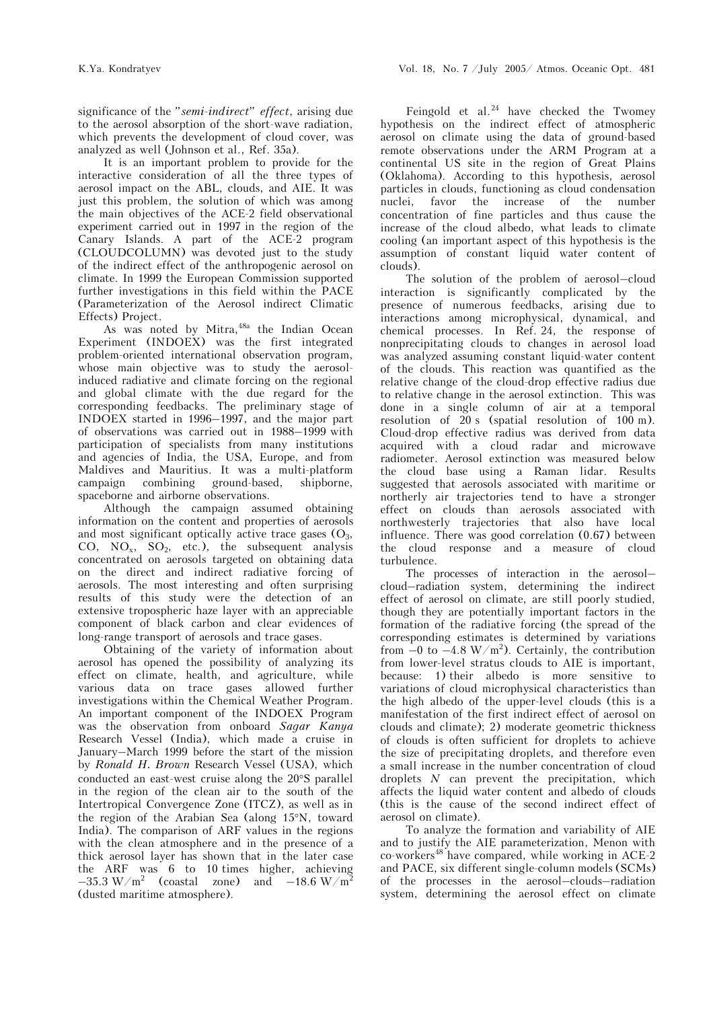significance of the *"semi-indirect" effect*, arising due to the aerosol absorption of the short-wave radiation, which prevents the development of cloud cover, was analyzed as well (Johnson et al., Ref. 35a).

It is an important problem to provide for the interactive consideration of all the three types of aerosol impact on the ABL, clouds, and AIE. It was just this problem, the solution of which was among the main objectives of the ACE-2 field observational experiment carried out in 1997 in the region of the Canary Islands. A part of the ACE-2 program (CLOUDCOLUMN) was devoted just to the study of the indirect effect of the anthropogenic aerosol on climate. In 1999 the European Commission supported further investigations in this field within the PACE (Parameterization of the Aerosol indirect Climatic Effects) Project.

As was noted by Mitra, <sup>48a</sup> the Indian Ocean Experiment (INDOEX) was the first integrated problem-oriented international observation program, whose main objective was to study the aerosolinduced radiative and climate forcing on the regional and global climate with the due regard for the corresponding feedbacks. The preliminary stage of INDOEX started in 1996–1997, and the major part of observations was carried out in 1988–1999 with participation of specialists from many institutions and agencies of India, the USA, Europe, and from Maldives and Mauritius. It was a multi-platform campaign combining ground-based, shipborne, spaceborne and airborne observations.

Although the campaign assumed obtaining information on the content and properties of aerosols and most significant optically active trace gases  $(O_3,$ CO,  $NO_x$ ,  $SO_2$ , etc.), the subsequent analysis concentrated on aerosols targeted on obtaining data on the direct and indirect radiative forcing of aerosols. The most interesting and often surprising results of this study were the detection of an extensive tropospheric haze layer with an appreciable component of black carbon and clear evidences of long-range transport of aerosols and trace gases.

Obtaining of the variety of information about aerosol has opened the possibility of analyzing its effect on climate, health, and agriculture, while various data on trace gases allowed further investigations within the Chemical Weather Program. An important component of the INDOEX Program was the observation from onboard *Sagar Kanya* Research Vessel (India), which made a cruise in January–March 1999 before the start of the mission by *Ronald H. Brown* Research Vessel (USA), which conducted an east-west cruise along the 20°S parallel in the region of the clean air to the south of the Intertropical Convergence Zone (ITCZ), as well as in the region of the Arabian Sea (along 15°N, toward India). The comparison of ARF values in the regions with the clean atmosphere and in the presence of a thick aerosol layer has shown that in the later case the ARF was 6 to 10 times higher, achieving  $-35.3 \ \mathrm{W/m^2}$  (coastal zone) and  $-18.6 \ \mathrm{W/m^2}$ (dusted maritime atmosphere).

Feingold et al. $^{24}$  have checked the Twomey hypothesis on the indirect effect of atmospheric aerosol on climate using the data of ground-based remote observations under the ARM Program at a continental US site in the region of Great Plains (Oklahoma). According to this hypothesis, aerosol particles in clouds, functioning as cloud condensation nuclei, favor the increase of the number concentration of fine particles and thus cause the increase of the cloud albedo, what leads to climate cooling (an important aspect of this hypothesis is the assumption of constant liquid water content of clouds).

The solution of the problem of aerosol–cloud interaction is significantly complicated by the presence of numerous feedbacks, arising due to interactions among microphysical, dynamical, and chemical processes. In Ref. 24, the response of nonprecipitating clouds to changes in aerosol load was analyzed assuming constant liquid-water content of the clouds. This reaction was quantified as the relative change of the cloud-drop effective radius due to relative change in the aerosol extinction. This was done in a single column of air at a temporal resolution of 20 s (spatial resolution of 100 m). Cloud-drop effective radius was derived from data acquired with a cloud radar and microwave radiometer. Aerosol extinction was measured below the cloud base using a Raman lidar. Results suggested that aerosols associated with maritime or northerly air trajectories tend to have a stronger effect on clouds than aerosols associated with northwesterly trajectories that also have local influence. There was good correlation (0.67) between the cloud response and a measure of cloud turbulence.

The processes of interaction in the aerosol– cloud–radiation system, determining the indirect effect of aerosol on climate, are still poorly studied, though they are potentially important factors in the formation of the radiative forcing (the spread of the corresponding estimates is determined by variations from  $-0$  to  $-4.8 \text{ W/m}^2$ ). Certainly, the contribution from lower-level stratus clouds to AIE is important, because: 1) their albedo is more sensitive to variations of cloud microphysical characteristics than the high albedo of the upper-level clouds (this is a manifestation of the first indirect effect of aerosol on clouds and climate); 2) moderate geometric thickness of clouds is often sufficient for droplets to achieve the size of precipitating droplets, and therefore even a small increase in the number concentration of cloud droplets *N* can prevent the precipitation, which affects the liquid water content and albedo of clouds (this is the cause of the second indirect effect of aerosol on climate).

To analyze the formation and variability of AIE and to justify the AIE parameterization, Menon with  $co$ -workers<sup>48</sup> have compared, while working in ACE-2 and PACE, six different single-column models (SCMs) of the processes in the aerosol–clouds–radiation system, determining the aerosol effect on climate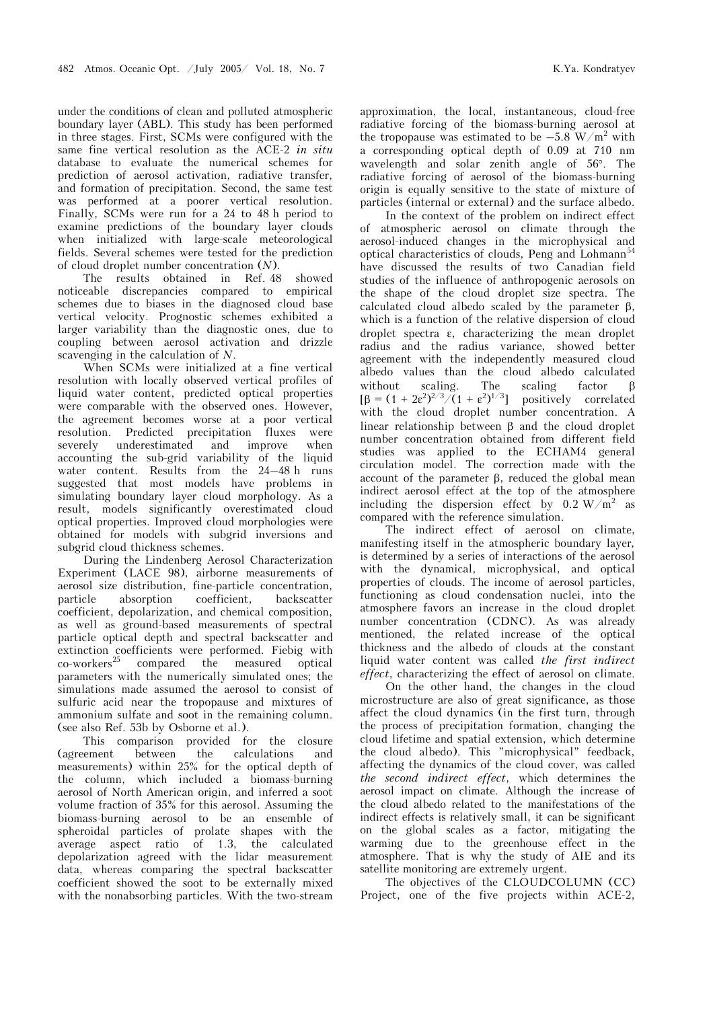under the conditions of clean and polluted atmospheric boundary layer (ABL). This study has been performed in three stages. First, SCMs were configured with the same fine vertical resolution as the ACE-2 *in situ* database to evaluate the numerical schemes for prediction of aerosol activation, radiative transfer, and formation of precipitation. Second, the same test was performed at a poorer vertical resolution. Finally, SCMs were run for a 24 to 48 h period to examine predictions of the boundary layer clouds when initialized with large-scale meteorological fields. Several schemes were tested for the prediction of cloud droplet number concentration (*N*).

The results obtained in Ref. 48 showed noticeable discrepancies compared to empirical schemes due to biases in the diagnosed cloud base vertical velocity. Prognostic schemes exhibited a larger variability than the diagnostic ones, due to coupling between aerosol activation and drizzle scavenging in the calculation of *N*.

When SCMs were initialized at a fine vertical resolution with locally observed vertical profiles of liquid water content, predicted optical properties were comparable with the observed ones. However, the agreement becomes worse at a poor vertical resolution. Predicted precipitation fluxes were severely underestimated and improve when accounting the sub-grid variability of the liquid water content. Results from the 24–48 h runs suggested that most models have problems in simulating boundary layer cloud morphology. As a result, models significantly overestimated cloud optical properties. Improved cloud morphologies were obtained for models with subgrid inversions and subgrid cloud thickness schemes.

During the Lindenberg Aerosol Characterization Experiment (LACE 98), airborne measurements of aerosol size distribution, fine-particle concentration, particle absorption coefficient, backscatter coefficient, depolarization, and chemical composition, as well as ground-based measurements of spectral particle optical depth and spectral backscatter and extinction coefficients were performed. Fiebig with<br>co-workers<sup>25</sup> compared the measured optical compared the measured optical parameters with the numerically simulated ones; the simulations made assumed the aerosol to consist of sulfuric acid near the tropopause and mixtures of ammonium sulfate and soot in the remaining column. (see also Ref. 53b by Osborne et al.).

This comparison provided for the closure (agreement between the calculations and measurements) within 25% for the optical depth of the column, which included a biomass-burning aerosol of North American origin, and inferred a soot volume fraction of 35% for this aerosol. Assuming the biomass-burning aerosol to be an ensemble of spheroidal particles of prolate shapes with the average aspect ratio of 1.3, the calculated depolarization agreed with the lidar measurement data, whereas comparing the spectral backscatter coefficient showed the soot to be externally mixed with the nonabsorbing particles. With the two-stream

approximation, the local, instantaneous, cloud-free radiative forcing of the biomass-burning aerosol at the tropopause was estimated to be  $-5.8 \text{ W/m}^2$  with a corresponding optical depth of 0.09 at 710 nm wavelength and solar zenith angle of 56°. The radiative forcing of aerosol of the biomass-burning origin is equally sensitive to the state of mixture of particles (internal or external) and the surface albedo.

 In the context of the problem on indirect effect of atmospheric aerosol on climate through the aerosol-induced changes in the microphysical and optical characteristics of clouds, Peng and Lohmann<sup>54</sup> have discussed the results of two Canadian field studies of the influence of anthropogenic aerosols on the shape of the cloud droplet size spectra. The calculated cloud albedo scaled by the parameter β, which is a function of the relative dispersion of cloud droplet spectra ε, characterizing the mean droplet radius and the radius variance, showed better agreement with the independently measured cloud albedo values than the cloud albedo calculated without scaling. The scaling factor β  $\left[\beta = (1 + 2\varepsilon^2)^{2/3} / (1 + \varepsilon^2)^{1/3}\right]$  positively correlated with the cloud droplet number concentration. A linear relationship between β and the cloud droplet number concentration obtained from different field studies was applied to the ECHAM4 general circulation model. The correction made with the account of the parameter β, reduced the global mean indirect aerosol effect at the top of the atmosphere including the dispersion effect by  $0.2 \text{ W/m}^2$  as compared with the reference simulation.

The indirect effect of aerosol on climate, manifesting itself in the atmospheric boundary layer*,*  is determined by a series of interactions of the aerosol with the dynamical, microphysical, and optical properties of clouds. The income of aerosol particles, functioning as cloud condensation nuclei, into the atmosphere favors an increase in the cloud droplet number concentration (CDNC). As was already mentioned, the related increase of the optical thickness and the albedo of clouds at the constant liquid water content was called *the first indirect effect*, characterizing the effect of aerosol on climate.

 On the other hand, the changes in the cloud microstructure are also of great significance, as those affect the cloud dynamics (in the first turn, through the process of precipitation formation, changing the cloud lifetime and spatial extension, which determine the cloud albedo). This "microphysical" feedback, affecting the dynamics of the cloud cover, was called *the second indirect effect*, which determines the aerosol impact on climate. Although the increase of the cloud albedo related to the manifestations of the indirect effects is relatively small, it can be significant on the global scales as a factor, mitigating the warming due to the greenhouse effect in the atmosphere. That is why the study of AIE and its satellite monitoring are extremely urgent.

The objectives of the CLOUDCOLUMN (CC) Project, one of the five projects within ACE-2,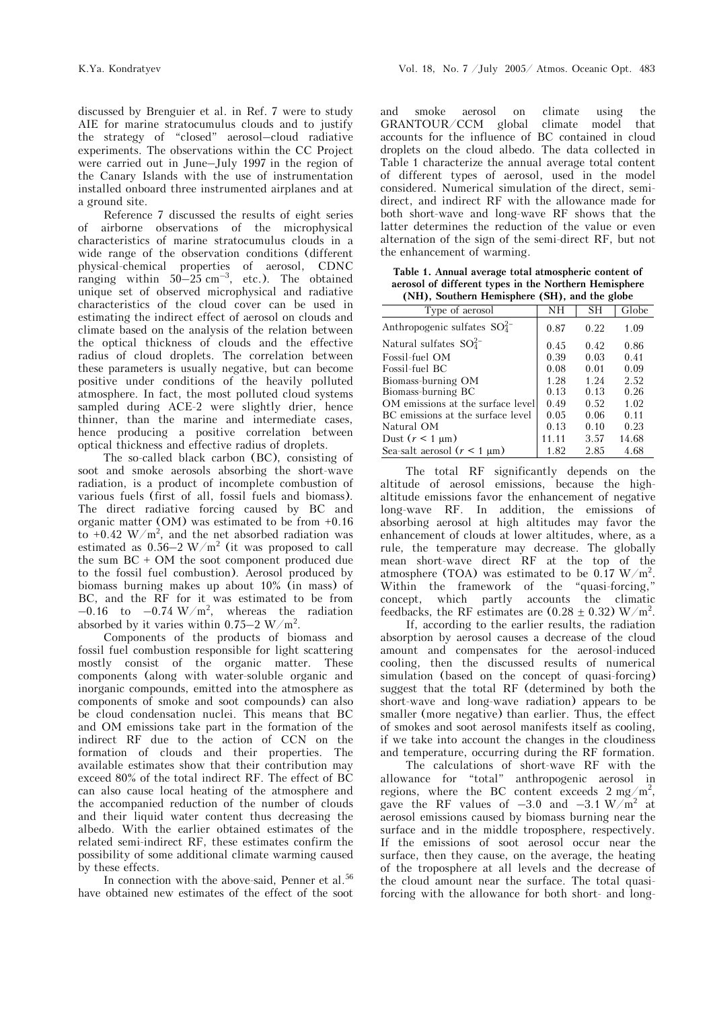discussed by Brenguier et al. in Ref. 7 were to study AIE for marine stratocumulus clouds and to justify the strategy of "closed" aerosol–cloud radiative experiments. The observations within the CC Project were carried out in June–July 1997 in the region of the Canary Islands with the use of instrumentation installed onboard three instrumented airplanes and at a ground site.

Reference 7 discussed the results of eight series of airborne observations of the microphysical characteristics of marine stratocumulus clouds in a wide range of the observation conditions (different physical-chemical properties of aerosol, CDNC ranging within  $50-25$  cm<sup>-3</sup>, etc.). The obtained unique set of observed microphysical and radiative characteristics of the cloud cover can be used in estimating the indirect effect of aerosol on clouds and climate based on the analysis of the relation between the optical thickness of clouds and the effective radius of cloud droplets. The correlation between these parameters is usually negative, but can become positive under conditions of the heavily polluted atmosphere. In fact, the most polluted cloud systems sampled during ACE-2 were slightly drier, hence thinner, than the marine and intermediate cases, hence producing a positive correlation between optical thickness and effective radius of droplets.

The so-called black carbon (BC), consisting of soot and smoke aerosols absorbing the short-wave radiation, is a product of incomplete combustion of various fuels (first of all, fossil fuels and biomass). The direct radiative forcing caused by BC and organic matter ( $OM$ ) was estimated to be from  $+0.16$ to  $+0.42 \text{ W/m}^2$ , and the net absorbed radiation was estimated as  $0.56-2$  W/m<sup>2</sup> (it was proposed to call the sum  $BC + OM$  the soot component produced due to the fossil fuel combustion). Aerosol produced by biomass burning makes up about 10% (in mass) of BC, and the RF for it was estimated to be from  $-0.16$  to  $-0.74 \text{ W/m}^2$ , whereas the radiation absorbed by it varies within  $0.75-2$  W/m<sup>2</sup>.

Components of the products of biomass and fossil fuel combustion responsible for light scattering mostly consist of the organic matter. These components (along with water-soluble organic and inorganic compounds, emitted into the atmosphere as components of smoke and soot compounds) can also be cloud condensation nuclei. This means that BC and OM emissions take part in the formation of the indirect RF due to the action of CCN on the formation of clouds and their properties. The available estimates show that their contribution may exceed 80% of the total indirect RF. The effect of BC can also cause local heating of the atmosphere and the accompanied reduction of the number of clouds and their liquid water content thus decreasing the albedo. With the earlier obtained estimates of the related semi-indirect RF, these estimates confirm the possibility of some additional climate warming caused by these effects.

In connection with the above-said, Penner et al.<sup>56</sup> have obtained new estimates of the effect of the soot

and smoke aerosol on climate using the GRANTOUR/CCM global climate model that accounts for the influence of BC contained in cloud droplets on the cloud albedo. The data collected in Table 1 characterize the annual average total content of different types of aerosol, used in the model considered. Numerical simulation of the direct, semidirect, and indirect RF with the allowance made for both short-wave and long-wave RF shows that the latter determines the reduction of the value or even alternation of the sign of the semi-direct RF, but not the enhancement of warming.

**Table 1. Annual average total atmospheric content of aerosol of different types in the Northern Hemisphere (NH), Southern Hemisphere (SH), and the globe** 

| Type of aerosol                    | NH    | <b>SH</b> | Globe |
|------------------------------------|-------|-----------|-------|
| Anthropogenic sulfates $SO_4^{2-}$ | 0.87  | 0.22      | 1.09  |
| Natural sulfates $SO_4^{2-}$       | 0.45  | 0.42      | 0.86  |
| Fossil-fuel OM                     | 0.39  | 0.03      | 0.41  |
| Fossil-fuel BC                     | 0.08  | 0.01      | 0.09  |
| Biomass-burning OM                 | 1.28  | 1.24      | 2.52  |
| Biomass-burning BC                 | 0.13  | 0.13      | 0.26  |
| OM emissions at the surface level  | 0.49  | 0.52      | 1.02  |
| BC emissions at the surface level  | 0.05  | 0.06      | 0.11  |
| Natural OM                         | 0.13  | 0.10      | 0.23  |
| Dust $(r < 1 \mu m)$               | 11.11 | 3.57      | 14.68 |
| Sea-salt aerosol $(r < 1 \mu m)$   | 1.82  | 2.85      | 4.68  |

The total RF significantly depends on the altitude of aerosol emissions, because the highaltitude emissions favor the enhancement of negative long-wave RF. In addition, the emissions of absorbing aerosol at high altitudes may favor the enhancement of clouds at lower altitudes, where, as a rule, the temperature may decrease. The globally mean short-wave direct RF at the top of the atmosphere (TOA) was estimated to be 0.17 W/m<sup>2</sup>. Within the framework of the "quasi-forcing,"<br>concept, which partly accounts the climatic concept, which partly feedbacks, the RF estimates are  $(0.28 \pm 0.32)$  W/m<sup>2</sup>.

 If, according to the earlier results, the radiation absorption by aerosol causes a decrease of the cloud amount and compensates for the aerosol-induced cooling, then the discussed results of numerical simulation (based on the concept of quasi-forcing) suggest that the total RF (determined by both the short-wave and long-wave radiation) appears to be smaller (more negative) than earlier. Thus, the effect of smokes and soot aerosol manifests itself as cooling, if we take into account the changes in the cloudiness and temperature, occurring during the RF formation.

 The calculations of short-wave RF with the allowance for "total" anthropogenic aerosol in regions, where the BC content exceeds  $2 \text{ mg/m}^2$ , gave the RF values of  $-3.0$  and  $-3.1 \text{ W/m}^2$  at aerosol emissions caused by biomass burning near the surface and in the middle troposphere, respectively. If the emissions of soot aerosol occur near the surface, then they cause, on the average, the heating of the troposphere at all levels and the decrease of the cloud amount near the surface. The total quasiforcing with the allowance for both short- and long-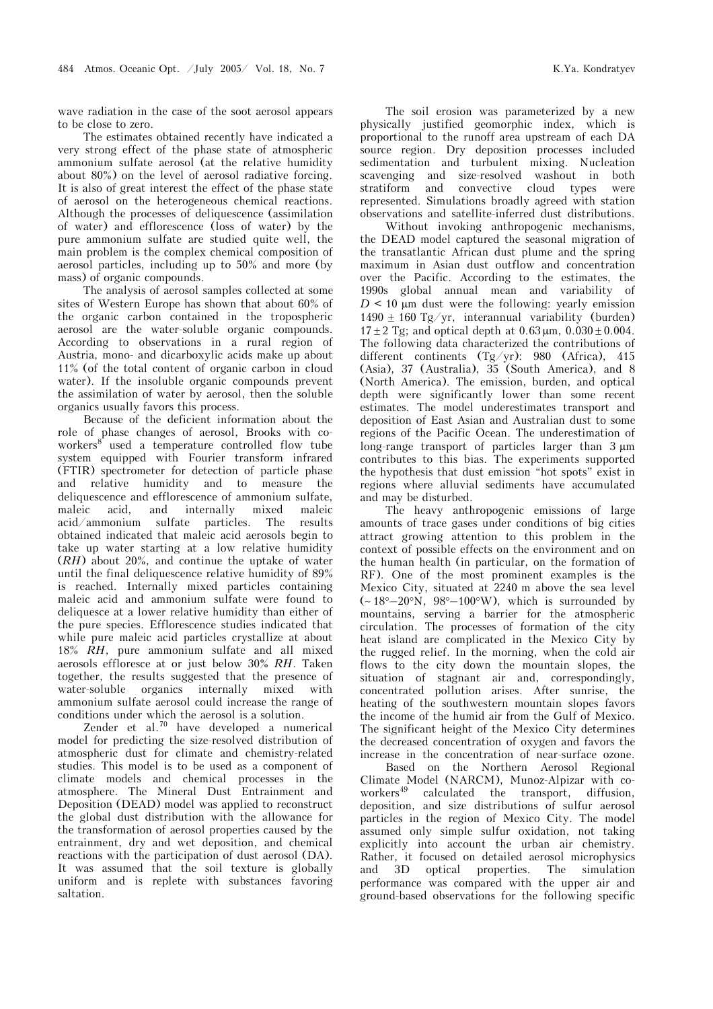wave radiation in the case of the soot aerosol appears to be close to zero.

The estimates obtained recently have indicated a very strong effect of the phase state of atmospheric ammonium sulfate aerosol (at the relative humidity about 80%) on the level of aerosol radiative forcing. It is also of great interest the effect of the phase state of aerosol on the heterogeneous chemical reactions. Although the processes of deliquescence (assimilation of water) and efflorescence (loss of water) by the pure ammonium sulfate are studied quite well, the main problem is the complex chemical composition of aerosol particles, including up to 50% and more (by mass) of organic compounds.

The analysis of aerosol samples collected at some sites of Western Europe has shown that about 60% of the organic carbon contained in the tropospheric aerosol are the water-soluble organic compounds. According to observations in a rural region of Austria, mono- and dicarboxylic acids make up about 11% (of the total content of organic carbon in cloud water). If the insoluble organic compounds prevent the assimilation of water by aerosol, then the soluble organics usually favors this process.

Because of the deficient information about the role of phase changes of aerosol, Brooks with coworkers<sup>8</sup> used a temperature controlled flow tube system equipped with Fourier transform infrared (FTIR) spectrometer for detection of particle phase and relative humidity and to measure the deliquescence and efflorescence of ammonium sulfate, maleic acid, and internally mixed maleic acid/ammonium sulfate particles. The results obtained indicated that maleic acid aerosols begin to take up water starting at a low relative humidity (*RH*) about 20%, and continue the uptake of water until the final deliquescence relative humidity of 89% is reached. Internally mixed particles containing maleic acid and ammonium sulfate were found to deliquesce at a lower relative humidity than either of the pure species. Efflorescence studies indicated that while pure maleic acid particles crystallize at about 18% *RH*, pure ammonium sulfate and all mixed aerosols effloresce at or just below 30% *RH*. Taken together, the results suggested that the presence of water-soluble organics internally mixed with ammonium sulfate aerosol could increase the range of conditions under which the aerosol is a solution.

Zender et al.70 have developed a numerical model for predicting the size-resolved distribution of atmospheric dust for climate and chemistry-related studies. This model is to be used as a component of climate models and chemical processes in the atmosphere. The Mineral Dust Entrainment and Deposition (DEAD) model was applied to reconstruct the global dust distribution with the allowance for the transformation of aerosol properties caused by the entrainment, dry and wet deposition, and chemical reactions with the participation of dust aerosol (DA). It was assumed that the soil texture is globally uniform and is replete with substances favoring saltation.

The soil erosion was parameterized by a new physically justified geomorphic index, which is proportional to the runoff area upstream of each DA source region. Dry deposition processes included sedimentation and turbulent mixing. Nucleation scavenging and size-resolved washout in both stratiform and convective cloud types were represented. Simulations broadly agreed with station observations and satellite-inferred dust distributions.

 Without invoking anthropogenic mechanisms, the DEAD model captured the seasonal migration of the transatlantic African dust plume and the spring maximum in Asian dust outflow and concentration over the Pacific. According to the estimates, the 1990s global annual mean and variability of  $D$  < 10  $\mu$ m dust were the following: yearly emission 1490  $\pm$  160 Tg/yr, interannual variability (burden)  $17 \pm 2$  Tg; and optical depth at  $0.63 \,\mu m$ ,  $0.030 \pm 0.004$ . The following data characterized the contributions of different continents (Tg/yr): 980 (Africa), 415 (Asia), 37 (Australia), 35 (South America), and 8 (North America). The emission, burden, and optical depth were significantly lower than some recent estimates. The model underestimates transport and deposition of East Asian and Australian dust to some regions of the Pacific Ocean. The underestimation of long-range transport of particles larger than 3 µm contributes to this bias. The experiments supported the hypothesis that dust emission "hot spots" exist in regions where alluvial sediments have accumulated and may be disturbed.

The heavy anthropogenic emissions of large amounts of trace gases under conditions of big cities attract growing attention to this problem in the context of possible effects on the environment and on the human health (in particular, on the formation of RF). One of the most prominent examples is the Mexico City, situated at 2240 m above the sea level (∼ 18°–20°N, 98°–100°W), which is surrounded by mountains, serving a barrier for the atmospheric circulation. The processes of formation of the city heat island are complicated in the Mexico City by the rugged relief. In the morning, when the cold air flows to the city down the mountain slopes, the situation of stagnant air and, correspondingly, concentrated pollution arises. After sunrise, the heating of the southwestern mountain slopes favors the income of the humid air from the Gulf of Mexico. The significant height of the Mexico City determines the decreased concentration of oxygen and favors the increase in the concentration of near-surface ozone.

 Based on the Northern Aerosol Regional Climate Model (NARCM), Munoz-Alpizar with coworkers<sup>49</sup> calculated the transport, diffusion, deposition, and size distributions of sulfur aerosol particles in the region of Mexico City. The model assumed only simple sulfur oxidation, not taking explicitly into account the urban air chemistry. Rather, it focused on detailed aerosol microphysics and 3D optical properties. The simulation performance was compared with the upper air and ground-based observations for the following specific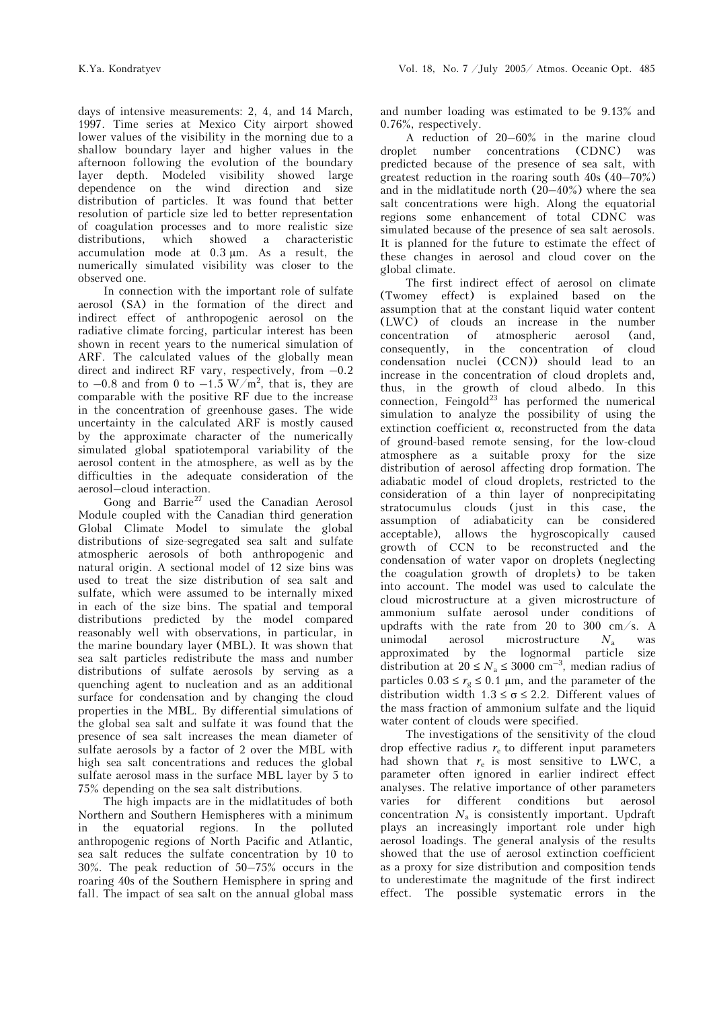days of intensive measurements: 2, 4, and 14 March, 1997. Time series at Mexico City airport showed lower values of the visibility in the morning due to a shallow boundary layer and higher values in the afternoon following the evolution of the boundary layer depth. Modeled visibility showed large dependence on the wind direction and size distribution of particles. It was found that better resolution of particle size led to better representation of coagulation processes and to more realistic size distributions, which showed a characteristic accumulation mode at 0.3 µm. As a result, the numerically simulated visibility was closer to the observed one.

In connection with the important role of sulfate aerosol (SA) in the formation of the direct and indirect effect of anthropogenic aerosol on the radiative climate forcing, particular interest has been shown in recent years to the numerical simulation of ARF. The calculated values of the globally mean direct and indirect RF vary, respectively, from –0.2 to  $-0.8$  and from 0 to  $-1.5 \text{ W/m}^2$ , that is, they are comparable with the positive RF due to the increase in the concentration of greenhouse gases. The wide uncertainty in the calculated ARF is mostly caused by the approximate character of the numerically simulated global spatiotemporal variability of the aerosol content in the atmosphere, as well as by the difficulties in the adequate consideration of the aerosol–cloud interaction.

Gong and  $\mathrm{Barrie}^{27}$  used the Canadian Aerosol Module coupled with the Canadian third generation Global Climate Model to simulate the global distributions of size-segregated sea salt and sulfate atmospheric aerosols of both anthropogenic and natural origin. A sectional model of 12 size bins was used to treat the size distribution of sea salt and sulfate, which were assumed to be internally mixed in each of the size bins. The spatial and temporal distributions predicted by the model compared reasonably well with observations, in particular, in the marine boundary layer (MBL). It was shown that sea salt particles redistribute the mass and number distributions of sulfate aerosols by serving as a quenching agent to nucleation and as an additional surface for condensation and by changing the cloud properties in the MBL. By differential simulations of the global sea salt and sulfate it was found that the presence of sea salt increases the mean diameter of sulfate aerosols by a factor of 2 over the MBL with high sea salt concentrations and reduces the global sulfate aerosol mass in the surface MBL layer by 5 to 75% depending on the sea salt distributions.

The high impacts are in the midlatitudes of both Northern and Southern Hemispheres with a minimum in the equatorial regions. In the polluted anthropogenic regions of North Pacific and Atlantic, sea salt reduces the sulfate concentration by 10 to 30%. The peak reduction of 50–75% occurs in the roaring 40s of the Southern Hemisphere in spring and fall. The impact of sea salt on the annual global mass and number loading was estimated to be 9.13% and 0.76%, respectively.

A reduction of 20–60% in the marine cloud droplet number concentrations (CDNC) was predicted because of the presence of sea salt, with greatest reduction in the roaring south 40s (40–70%) and in the midlatitude north (20–40%) where the sea salt concentrations were high. Along the equatorial regions some enhancement of total CDNC was simulated because of the presence of sea salt aerosols. It is planned for the future to estimate the effect of these changes in aerosol and cloud cover on the global climate.

The first indirect effect of aerosol on climate (Twomey effect) is explained based on the assumption that at the constant liquid water content (LWC) of clouds an increase in the number concentration of atmospheric aerosol (and, consequently, in the concentration of cloud condensation nuclei (CCN)) should lead to an increase in the concentration of cloud droplets and, thus, in the growth of cloud albedo. In this connection, Feingold<sup>23</sup> has performed the numerical simulation to analyze the possibility of using the extinction coefficient  $\alpha$ , reconstructed from the data of ground-based remote sensing, for the low-cloud atmosphere as a suitable proxy for the size distribution of aerosol affecting drop formation. The adiabatic model of cloud droplets, restricted to the consideration of a thin layer of nonprecipitating stratocumulus clouds (just in this case, the assumption of adiabaticity can be considered acceptable), allows the hygroscopically caused growth of CCN to be reconstructed and the condensation of water vapor on droplets (neglecting the coagulation growth of droplets) to be taken into account. The model was used to calculate the cloud microstructure at a given microstructure of ammonium sulfate aerosol under conditions of updrafts with the rate from 20 to 300 cm/s. A unimodal aerosol microstructure  $N_a$  was approximated by the lognormal particle size distribution at  $20 \leq N_a \leq 3000 \text{ cm}^{-3}$ , median radius of particles 0.03 ≤  $r_g$  ≤ 0.1 μm, and the parameter of the distribution width  $1.3 \leq \sigma \leq 2.2$ . Different values of the mass fraction of ammonium sulfate and the liquid water content of clouds were specified.

The investigations of the sensitivity of the cloud drop effective radius  $r_{e}$  to different input parameters had shown that  $r_e$  is most sensitive to LWC, a parameter often ignored in earlier indirect effect analyses. The relative importance of other parameters varies for different conditions but aerosol concentration  $N_a$  is consistently important. Updraft plays an increasingly important role under high aerosol loadings. The general analysis of the results showed that the use of aerosol extinction coefficient as a proxy for size distribution and composition tends to underestimate the magnitude of the first indirect effect. The possible systematic errors in the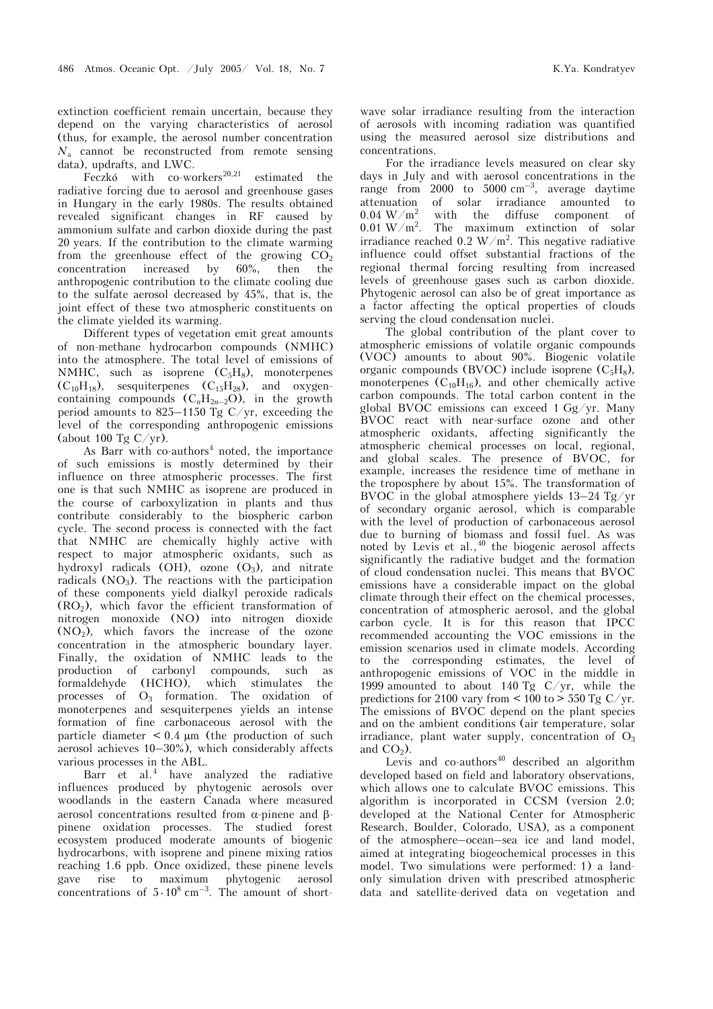extinction coefficient remain uncertain, because they depend on the varying characteristics of aerosol (thus, for example, the aerosol number concentration *N*a cannot be reconstructed from remote sensing data), updrafts, and LWC.

Feczkó with co-workers<sup>20,21</sup> estimated the radiative forcing due to aerosol and greenhouse gases in Hungary in the early 1980s. The results obtained revealed significant changes in RF caused by ammonium sulfate and carbon dioxide during the past 20 years. If the contribution to the climate warming from the greenhouse effect of the growing  $CO<sub>2</sub>$ <br>concentration increased by 60%, then the concentration increased by 60%, then the anthropogenic contribution to the climate cooling due to the sulfate aerosol decreased by 45%, that is, the joint effect of these two atmospheric constituents on the climate yielded its warming.

Different types of vegetation emit great amounts of non-methane hydrocarbon compounds (NMHC) into the atmosphere. The total level of emissions of NMHC, such as isoprene  $(C_5H_8)$ , monoterpenes  $(C_{10}H_{18})$ , sesquiterpenes  $(C_{15}H_{28})$ , and oxygencontaining compounds  $(C_nH_{2n-2}O)$ , in the growth period amounts to 825–1150 Tg C/yr, exceeding the level of the corresponding anthropogenic emissions (about 100 Tg  $C/yr$ ).

As Barr with co-authors<sup>4</sup> noted, the importance of such emissions is mostly determined by their influence on three atmospheric processes. The first one is that such NMHC as isoprene are produced in the course of carboxylization in plants and thus contribute considerably to the biospheric carbon cycle. The second process is connected with the fact that NMHC are chemically highly active with respect to major atmospheric oxidants, such as hydroxyl radicals (OH), ozone  $(O_3)$ , and nitrate radicals  $(NO<sub>3</sub>)$ . The reactions with the participation of these components yield dialkyl peroxide radicals  $(RO<sub>2</sub>)$ , which favor the efficient transformation of nitrogen monoxide (NO) into nitrogen dioxide  $(NO<sub>2</sub>)$ , which favors the increase of the ozone concentration in the atmospheric boundary layer. Finally, the oxidation of NMHC leads to the production of carbonyl compounds, such as formaldehyde (HCHO), which stimulates the processes of  $O_3$  formation. The oxidation of monoterpenes and sesquiterpenes yields an intense formation of fine carbonaceous aerosol with the particle diameter  $\leq 0.4$  µm (the production of such aerosol achieves 10–30%), which considerably affects various processes in the ABL.

Barr et al.<sup>4</sup> have analyzed the radiative influences produced by phytogenic aerosols over woodlands in the eastern Canada where measured aerosol concentrations resulted from α-pinene and βpinene oxidation processes. The studied forest ecosystem produced moderate amounts of biogenic hydrocarbons, with isoprene and pinene mixing ratios reaching 1.6 ppb. Once oxidized, these pinene levels gave rise to maximum phytogenic aerosol concentrations of  $5 \cdot 10^8$  cm<sup>-3</sup>. The amount of shortwave solar irradiance resulting from the interaction of aerosols with incoming radiation was quantified using the measured aerosol size distributions and concentrations.

For the irradiance levels measured on clear sky days in July and with aerosol concentrations in the range from 2000 to  $5000 \text{ cm}^{-3}$ , average daytime attenuation of solar irradiance amounted to  $0.04 \text{ W/m}^2$  with the diffuse component of  $0.01 \,\mathrm{W/m^2}$ . . The maximum extinction of solar irradiance reached 0.2  $W/m^2$ . This negative radiative influence could offset substantial fractions of the regional thermal forcing resulting from increased levels of greenhouse gases such as carbon dioxide. Phytogenic aerosol can also be of great importance as a factor affecting the optical properties of clouds serving the cloud condensation nuclei.

The global contribution of the plant cover to atmospheric emissions of volatile organic compounds (VOC) amounts to about 90%. Biogenic volatile organic compounds (BVOC) include isoprene  $(C_5H_8)$ , monoterpenes  $(C_{10}H_{16})$ , and other chemically active carbon compounds. The total carbon content in the global BVOC emissions can exceed 1 Gg/yr. Many BVOC react with near-surface ozone and other atmospheric oxidants, affecting significantly the atmospheric chemical processes on local, regional, and global scales. The presence of BVOC, for example, increases the residence time of methane in the troposphere by about 15%. The transformation of BVOC in the global atmosphere yields 13–24 Tg/yr of secondary organic aerosol, which is comparable with the level of production of carbonaceous aerosol due to burning of biomass and fossil fuel. As was noted by Levis et al.,  $40$  the biogenic aerosol affects significantly the radiative budget and the formation of cloud condensation nuclei. This means that BVOC emissions have a considerable impact on the global climate through their effect on the chemical processes, concentration of atmospheric aerosol, and the global carbon cycle. It is for this reason that IPCC recommended accounting the VOC emissions in the emission scenarios used in climate models. According to the corresponding estimates, the level of anthropogenic emissions of VOC in the middle in 1999 amounted to about 140 Tg  $C/yr$ , while the predictions for 2100 vary from  $\lt$  100 to  $\gt$  550 Tg C/yr. The emissions of BVOC depend on the plant species and on the ambient conditions (air temperature, solar irradiance, plant water supply, concentration of  $O_3$ and  $CO<sub>2</sub>$ ).

Levis and co-authors<sup>40</sup> described an algorithm developed based on field and laboratory observations, which allows one to calculate BVOC emissions. This algorithm is incorporated in CCSM (version 2.0; developed at the National Center for Atmospheric Research, Boulder, Colorado, USA), as a component of the atmosphere–ocean–sea ice and land model, aimed at integrating biogeochemical processes in this model. Two simulations were performed: 1) a landonly simulation driven with prescribed atmospheric data and satellite-derived data on vegetation and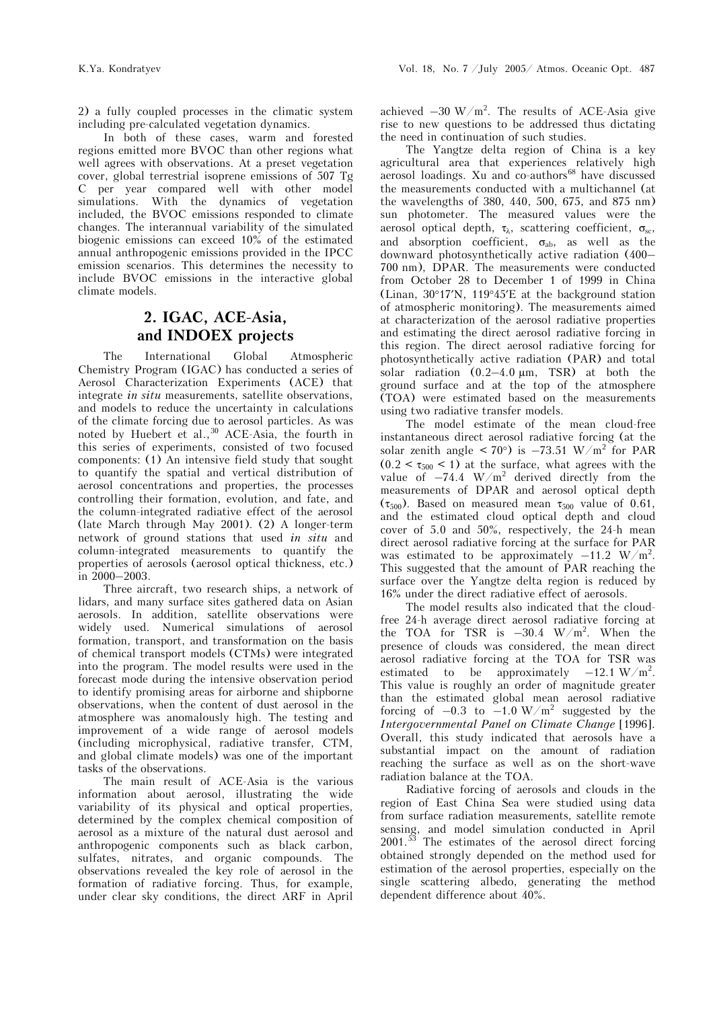2) a fully coupled processes in the climatic system including pre-calculated vegetation dynamics.

In both of these cases, warm and forested regions emitted more BVOC than other regions what well agrees with observations. At a preset vegetation cover, global terrestrial isoprene emissions of 507 Tg C per year compared well with other model simulations. With the dynamics of vegetation included, the BVOC emissions responded to climate changes. The interannual variability of the simulated biogenic emissions can exceed 10% of the estimated annual anthropogenic emissions provided in the IPCC emission scenarios. This determines the necessity to include BVOC emissions in the interactive global climate models.

# **2. IGAC, ACE-Asia, and INDOEX projects**

The International Global Atmospheric Chemistry Program (IGAC) has conducted a series of Aerosol Characterization Experiments (ACE) that integrate *in situ* measurements, satellite observations, and models to reduce the uncertainty in calculations of the climate forcing due to aerosol particles. As was noted by Huebert et al.,<sup>30</sup> ACE-Asia, the fourth in this series of experiments, consisted of two focused components: (1) An intensive field study that sought to quantify the spatial and vertical distribution of aerosol concentrations and properties, the processes controlling their formation, evolution, and fate, and the column-integrated radiative effect of the aerosol (late March through May 2001). (2) A longer-term network of ground stations that used *in situ* and column-integrated measurements to quantify the properties of aerosols (aerosol optical thickness, etc.) in 2000–2003.

Three aircraft, two research ships, a network of lidars, and many surface sites gathered data on Asian aerosols. In addition, satellite observations were widely used. Numerical simulations of aerosol formation, transport, and transformation on the basis of chemical transport models (CTMs) were integrated into the program. The model results were used in the forecast mode during the intensive observation period to identify promising areas for airborne and shipborne observations, when the content of dust aerosol in the atmosphere was anomalously high. The testing and improvement of a wide range of aerosol models (including microphysical, radiative transfer, CTM, and global climate models) was one of the important tasks of the observations.

The main result of ACE-Asia is the various information about aerosol, illustrating the wide variability of its physical and optical properties, determined by the complex chemical composition of aerosol as a mixture of the natural dust aerosol and anthropogenic components such as black carbon, sulfates, nitrates, and organic compounds. The observations revealed the key role of aerosol in the formation of radiative forcing. Thus, for example, under clear sky conditions, the direct ARF in April

achieved  $-30 \text{ W/m}^2$ . The results of ACE-Asia give rise to new questions to be addressed thus dictating the need in continuation of such studies.

The Yangtze delta region of China is a key agricultural area that experiences relatively high aerosol loadings. Xu and co-authors<sup>68</sup> have discussed the measurements conducted with a multichannel (at the wavelengths of 380, 440, 500, 675, and 875 nm) sun photometer. The measured values were the aerosol optical depth,  $\tau_{\lambda}$ , scattering coefficient,  $\sigma_{sc}$ , and absorption coefficient,  $\sigma_{ab}$ , as well as the downward photosynthetically active radiation (400– 700 nm), DPAR. The measurements were conducted from October 28 to December 1 of 1999 in China (Linan, 30°17′N, 119°45′E at the background station of atmospheric monitoring). The measurements aimed at characterization of the aerosol radiative properties and estimating the direct aerosol radiative forcing in this region. The direct aerosol radiative forcing for photosynthetically active radiation (PAR) and total solar radiation  $(0.2-4.0 \mu m, \text{TSR})$  at both the ground surface and at the top of the atmosphere (TOA) were estimated based on the measurements using two radiative transfer models.

The model estimate of the mean cloud-free instantaneous direct aerosol radiative forcing (at the solar zenith angle  $< 70^{\circ}$ ) is  $-73.51 \, \mathrm{W/m^2}$  for PAR  $(0.2 < \tau_{500} < 1)$  at the surface, what agrees with the value of  $-74.4 \text{ W/m}^2$  derived directly from the measurements of DPAR and aerosol optical depth ( $\tau_{500}$ ). Based on measured mean  $\tau_{500}$  value of 0.61, and the estimated cloud optical depth and cloud cover of 5.0 and 50%, respectively, the 24-h mean direct aerosol radiative forcing at the surface for PAR was estimated to be approximately  $-11.2 \text{ W/m}^2$ . This suggested that the amount of PAR reaching the surface over the Yangtze delta region is reduced by 16% under the direct radiative effect of aerosols.

The model results also indicated that the cloudfree 24-h average direct aerosol radiative forcing at the TOA for TSR is  $-30.4$  W/m<sup>2</sup>. When the presence of clouds was considered, the mean direct aerosol radiative forcing at the TOA for TSR was estimated to be approximately  $-12.1 \text{ W/m}^2$ . This value is roughly an order of magnitude greater than the estimated global mean aerosol radiative forcing of  $-0.3$  to  $-1.0 \text{ W/m}^2$  suggested by the *Intergovernmental Panel on Climate Change* [1996]. Overall, this study indicated that aerosols have a substantial impact on the amount of radiation reaching the surface as well as on the short-wave radiation balance at the TOA.

Radiative forcing of aerosols and clouds in the region of East China Sea were studied using data from surface radiation measurements, satellite remote sensing, and model simulation conducted in April 2001.53 The estimates of the aerosol direct forcing obtained strongly depended on the method used for estimation of the aerosol properties, especially on the single scattering albedo, generating the method dependent difference about 40%.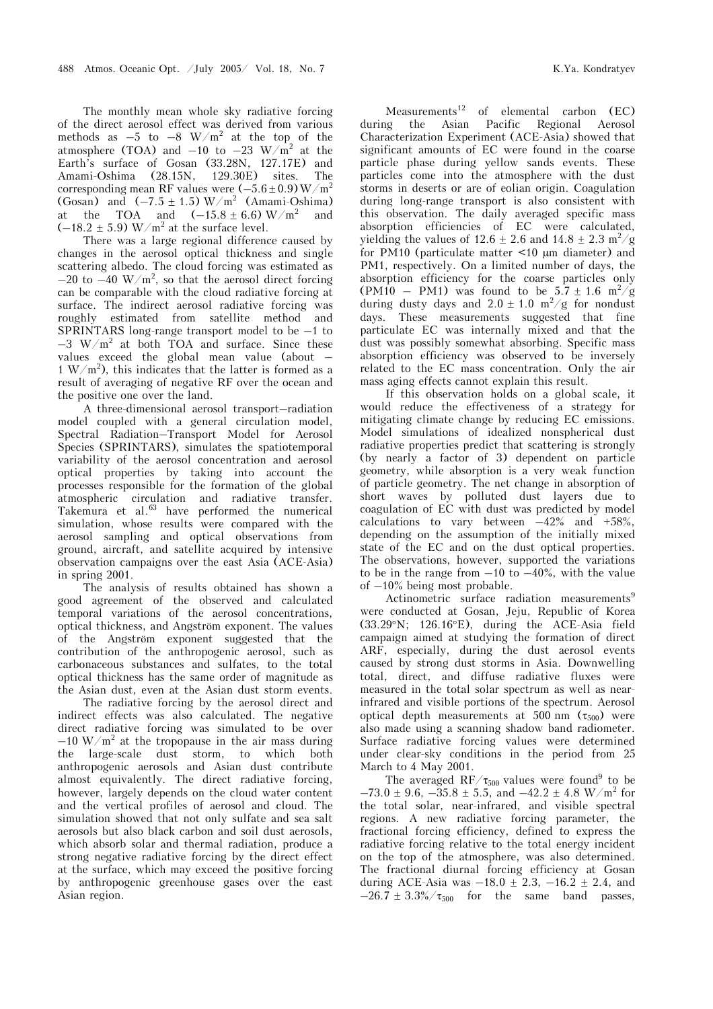The monthly mean whole sky radiative forcing of the direct aerosol effect was derived from various methods as  $-5$  to  $-8$  W/m<sup>2</sup> at the top of the atmosphere (TOA) and  $-10$  to  $-23$  W/m<sup>2</sup> at the Earth's surface of Gosan (33.28N, 127.17E) and<br>Amami-Oshima (28.15N, 129.30E) sites. The Amami-Oshima (28.15N, 129.30E) sites. The corresponding mean RF values were  $(-5.6 \pm 0.9)$  W/m<sup>2</sup> (Gosan) and  $(-7.5 \pm 1.5) W/m^2$  (Amami-Oshima) at the TOA and  $(-15.8 \pm 6.6)$  W/m<sup>2</sup> and  $(-18.2 \pm 5.9)$  W/m<sup>2</sup> at the surface level.

There was a large regional difference caused by changes in the aerosol optical thickness and single scattering albedo. The cloud forcing was estimated as  $-20$  to  $-40$  W/m<sup>2</sup>, so that the aerosol direct forcing can be comparable with the cloud radiative forcing at surface. The indirect aerosol radiative forcing was roughly estimated from satellite method and SPRINTARS long-range transport model to be –1 to  $-3$  W/m<sup>2</sup> at both TOA and surface. Since these values exceed the global mean value (about –  $1 \text{ W/m}^2$ , this indicates that the latter is formed as a result of averaging of negative RF over the ocean and the positive one over the land.

A three-dimensional aerosol transport–radiation model coupled with a general circulation model, Spectral Radiation–Transport Model for Aerosol Species (SPRINTARS), simulates the spatiotemporal variability of the aerosol concentration and aerosol optical properties by taking into account the processes responsible for the formation of the global atmospheric circulation and radiative transfer. Takemura et al.<sup>63</sup> have performed the numerical simulation, whose results were compared with the aerosol sampling and optical observations from ground, aircraft, and satellite acquired by intensive observation campaigns over the east Asia (ACE-Asia) in spring 2001.

The analysis of results obtained has shown a good agreement of the observed and calculated temporal variations of the aerosol concentrations, optical thickness, and Angström exponent. The values of the Angström exponent suggested that the contribution of the anthropogenic aerosol, such as carbonaceous substances and sulfates, to the total optical thickness has the same order of magnitude as the Asian dust, even at the Asian dust storm events.

 The radiative forcing by the aerosol direct and indirect effects was also calculated. The negative direct radiative forcing was simulated to be over  $-10 \text{ W/m}^2$  at the tropopause in the air mass during the large-scale dust storm, to which both anthropogenic aerosols and Asian dust contribute almost equivalently. The direct radiative forcing, however, largely depends on the cloud water content and the vertical profiles of aerosol and cloud. The simulation showed that not only sulfate and sea salt aerosols but also black carbon and soil dust aerosols, which absorb solar and thermal radiation, produce a strong negative radiative forcing by the direct effect at the surface, which may exceed the positive forcing by anthropogenic greenhouse gases over the east Asian region.

Measurements<sup>12</sup> of elemental carbon  $(EC)$ during the Asian Pacific Regional Aerosol Characterization Experiment (ACE-Asia) showed that significant amounts of EC were found in the coarse particle phase during yellow sands events. These particles come into the atmosphere with the dust storms in deserts or are of eolian origin. Coagulation during long-range transport is also consistent with this observation. The daily averaged specific mass absorption efficiencies of EC were calculated, yielding the values of  $12.6 \pm 2.6$  and  $14.8 \pm 2.3$  m<sup>2</sup>/g for PM10 (particulate matter <10 µm diameter) and PM1, respectively. On a limited number of days, the absorption efficiency for the coarse particles only  $(PM10 - PM1)$  was found to be  $5.7 \pm 1.6$  m<sup>2</sup>/g during dusty days and  $2.0 \pm 1.0$  m<sup>2</sup>/g for nondust days. These measurements suggested that fine particulate EC was internally mixed and that the dust was possibly somewhat absorbing. Specific mass absorption efficiency was observed to be inversely related to the EC mass concentration. Only the air mass aging effects cannot explain this result.

If this observation holds on a global scale, it would reduce the effectiveness of a strategy for mitigating climate change by reducing EC emissions. Model simulations of idealized nonspherical dust radiative properties predict that scattering is strongly (by nearly a factor of 3) dependent on particle geometry, while absorption is a very weak function of particle geometry. The net change in absorption of short waves by polluted dust layers due to coagulation of EC with dust was predicted by model calculations to vary between  $-42\%$  and  $+58\%$ . depending on the assumption of the initially mixed state of the EC and on the dust optical properties. The observations, however, supported the variations to be in the range from  $-10$  to  $-40\%$ , with the value of –10% being most probable.

Actinometric surface radiation measurements<sup>9</sup> were conducted at Gosan, Jeju, Republic of Korea (33.29°N; 126.16°E), during the ACE-Asia field campaign aimed at studying the formation of direct ARF, especially, during the dust aerosol events caused by strong dust storms in Asia. Downwelling total, direct, and diffuse radiative fluxes were measured in the total solar spectrum as well as nearinfrared and visible portions of the spectrum. Aerosol optical depth measurements at 500 nm  $(\tau_{500})$  were also made using a scanning shadow band radiometer. Surface radiative forcing values were determined under clear-sky conditions in the period from 25 March to 4 May 2001.

The averaged  $RF/\tau_{500}$  values were found<sup>9</sup> to be  $-73.0 \pm 9.6, -35.8 \pm 5.5, \text{ and } -42.2 \pm 4.8 \text{ W/m}^2 \text{ for }$ the total solar, near-infrared, and visible spectral regions. A new radiative forcing parameter, the fractional forcing efficiency, defined to express the radiative forcing relative to the total energy incident on the top of the atmosphere, was also determined. The fractional diurnal forcing efficiency at Gosan during ACE-Asia was  $-18.0 \pm 2.3$ ,  $-16.2 \pm 2.4$ , and  $-26.7 \pm 3.3\% / \tau_{500}$  for the same band passes,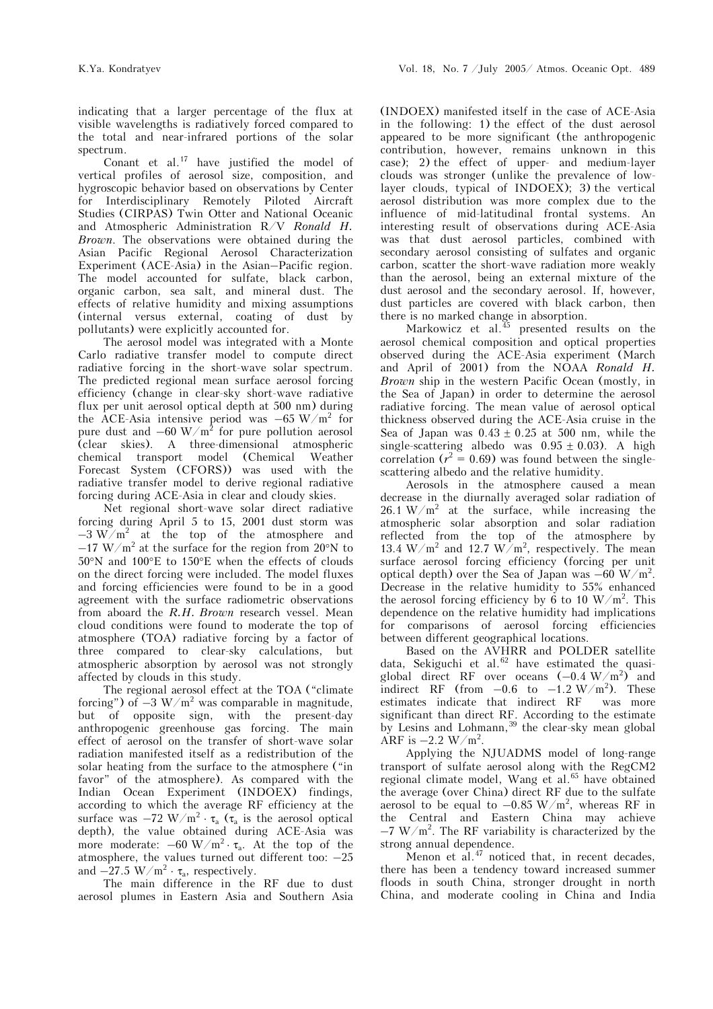indicating that a larger percentage of the flux at visible wavelengths is radiatively forced compared to the total and near-infrared portions of the solar spectrum.

Conant et al.17 have justified the model of vertical profiles of aerosol size, composition, and hygroscopic behavior based on observations by Center for Interdisciplinary Remotely Piloted Aircraft Studies (CIRPAS) Twin Otter and National Oceanic and Atmospheric Administration R/V *Ronald H. Brown*. The observations were obtained during the Asian Pacific Regional Aerosol Characterization Experiment (ACE-Asia) in the Asian–Pacific region. The model accounted for sulfate, black carbon, organic carbon, sea salt, and mineral dust. The effects of relative humidity and mixing assumptions (internal versus external, coating of dust by pollutants) were explicitly accounted for.

The aerosol model was integrated with a Monte Carlo radiative transfer model to compute direct radiative forcing in the short-wave solar spectrum. The predicted regional mean surface aerosol forcing efficiency (change in clear-sky short-wave radiative flux per unit aerosol optical depth at 500 nm) during the ACE-Asia intensive period was  $-65 \text{ W/m}^2$  for pure dust and  $-60 \text{ W/m}^2$  for pure pollution aerosol (clear skies). A three-dimensional atmospheric chemical transport model (Chemical Weather Forecast System (CFORS)) was used with the radiative transfer model to derive regional radiative forcing during ACE-Asia in clear and cloudy skies.

Net regional short-wave solar direct radiative forcing during April 5 to 15, 2001 dust storm was  $-3 \text{ W/m}^2$  at the top of the atmosphere and  $-17$  W/m<sup>2</sup> at the surface for the region from 20°N to 50°N and 100°E to 150°E when the effects of clouds on the direct forcing were included. The model fluxes and forcing efficiencies were found to be in a good agreement with the surface radiometric observations from aboard the *R.H. Brown* research vessel. Mean cloud conditions were found to moderate the top of atmosphere (TOA) radiative forcing by a factor of three compared to clear-sky calculations, but atmospheric absorption by aerosol was not strongly affected by clouds in this study.

The regional aerosol effect at the TOA ("climate forcing") of  $-3 \text{ W/m}^2$  was comparable in magnitude, but of opposite sign, with the present-day anthropogenic greenhouse gas forcing. The main effect of aerosol on the transfer of short-wave solar radiation manifested itself as a redistribution of the solar heating from the surface to the atmosphere ("in favor" of the atmosphere). As compared with the Indian Ocean Experiment (INDOEX) findings, according to which the average RF efficiency at the surface was  $-72 \text{ W/m}^2 \cdot \tau_a$  ( $\tau_a$  is the aerosol optical depth), the value obtained during ACE-Asia was more moderate:  $-60 \text{ W/m}^2 \cdot \tau_a$ . At the top of the atmosphere, the values turned out different too: –25 and  $-27.5 \text{ W/m}^2 \cdot \tau_a$ , respectively.

The main difference in the RF due to dust aerosol plumes in Eastern Asia and Southern Asia

(INDOEX) manifested itself in the case of ACE-Asia in the following: 1) the effect of the dust aerosol appeared to be more significant (the anthropogenic contribution, however, remains unknown in this case); 2) the effect of upper- and medium-layer clouds was stronger (unlike the prevalence of lowlayer clouds, typical of INDOEX); 3) the vertical aerosol distribution was more complex due to the influence of mid-latitudinal frontal systems. An interesting result of observations during ACE-Asia was that dust aerosol particles, combined with secondary aerosol consisting of sulfates and organic carbon, scatter the short-wave radiation more weakly than the aerosol, being an external mixture of the dust aerosol and the secondary aerosol. If, however, dust particles are covered with black carbon, then there is no marked change in absorption.

Markowicz et al.<sup>45</sup> presented results on the aerosol chemical composition and optical properties observed during the ACE-Asia experiment (March and April of 2001) from the NOAA *Ronald H. Brown* ship in the western Pacific Ocean (mostly, in the Sea of Japan) in order to determine the aerosol radiative forcing. The mean value of aerosol optical thickness observed during the ACE-Asia cruise in the Sea of Japan was  $0.43 \pm 0.25$  at 500 nm, while the single-scattering albedo was  $0.95 \pm 0.03$ ). A high correlation ( $r^2 = 0.69$ ) was found between the singlescattering albedo and the relative humidity.

Aerosols in the atmosphere caused a mean decrease in the diurnally averaged solar radiation of  $26.1 \text{ W/m}^2$  at the surface, while increasing the atmospheric solar absorption and solar radiation reflected from the top of the atmosphere by 13.4 W/m<sup>2</sup> and 12.7 W/m<sup>2</sup>, respectively. The mean surface aerosol forcing efficiency (forcing per unit optical depth) over the Sea of Japan was  $-60$  W/m<sup>2</sup>. Decrease in the relative humidity to 55% enhanced the aerosol forcing efficiency by 6 to 10  $W/m^2$ . This dependence on the relative humidity had implications for comparisons of aerosol forcing efficiencies between different geographical locations.

Based on the AVHRR and POLDER satellite data, Sekiguchi et al. $62$  have estimated the quasiglobal direct RF over oceans  $(-0.4 \text{ W/m}^2)$  and indirect RF (from  $-0.6$  to  $-1.2 \text{ W/m}^2$ ). These estimates indicate that indirect RF was more significant than direct RF. According to the estimate by Lesins and Lohmann,  $39$  the clear-sky mean global ARF is  $-2.2 \text{ W/m}^2$ .

Applying the NJUADMS model of long-range transport of sulfate aerosol along with the RegCM2 regional climate model, Wang et al.<sup>65</sup> have obtained the average (over China) direct RF due to the sulfate aerosol to be equal to  $-0.85 \text{ W/m}^2$ , whereas RF in the Central and Eastern China may achieve  $-7$  W/m<sup>2</sup>. The RF variability is characterized by the strong annual dependence.

Menon et al. $47$  noticed that, in recent decades, there has been a tendency toward increased summer floods in south China, stronger drought in north China, and moderate cooling in China and India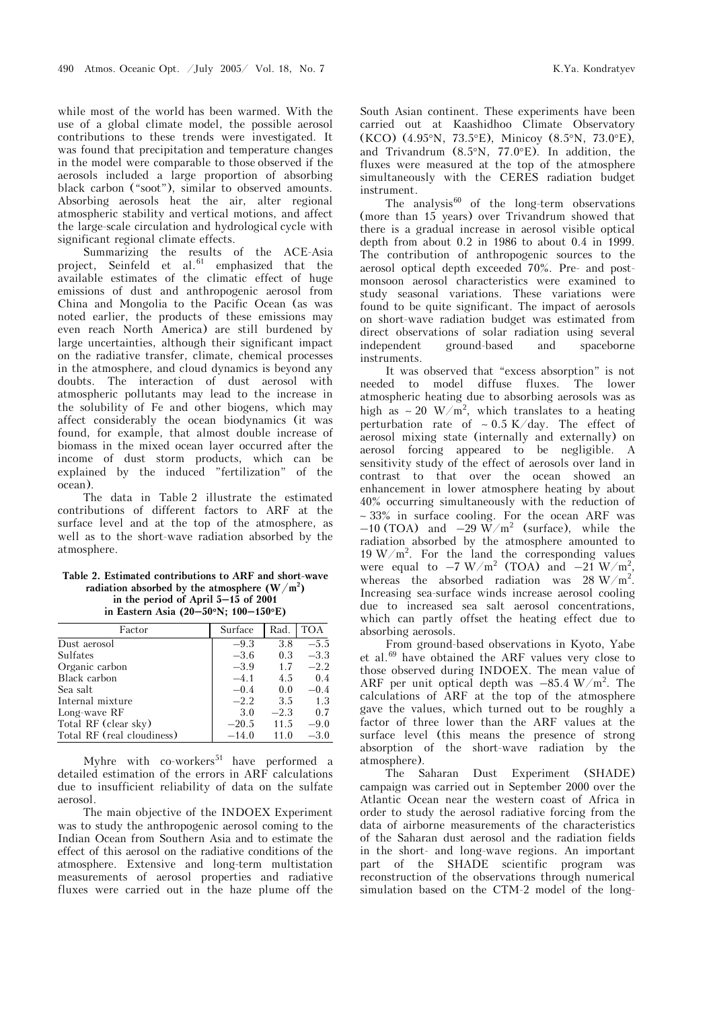while most of the world has been warmed. With the use of a global climate model, the possible aerosol contributions to these trends were investigated. It was found that precipitation and temperature changes in the model were comparable to those observed if the aerosols included a large proportion of absorbing black carbon ("soot"), similar to observed amounts. Absorbing aerosols heat the air, alter regional atmospheric stability and vertical motions, and affect the large-scale circulation and hydrological cycle with significant regional climate effects.

Summarizing the results of the ACE-Asia project, Seinfeld et al. $61$  emphasized that the available estimates of the climatic effect of huge emissions of dust and anthropogenic aerosol from China and Mongolia to the Pacific Ocean (as was noted earlier, the products of these emissions may even reach North America) are still burdened by large uncertainties, although their significant impact on the radiative transfer, climate, chemical processes in the atmosphere, and cloud dynamics is beyond any doubts. The interaction of dust aerosol with atmospheric pollutants may lead to the increase in the solubility of Fe and other biogens, which may affect considerably the ocean biodynamics (it was found, for example, that almost double increase of biomass in the mixed ocean layer occurred after the income of dust storm products, which can be explained by the induced "fertilization" of the ocean).

The data in Table 2 illustrate the estimated contributions of different factors to ARF at the surface level and at the top of the atmosphere, as well as to the short-wave radiation absorbed by the atmosphere.

**Table 2. Estimated contributions to ARF and short-wave**  radiation absorbed by the atmosphere  $(W/m^2)$ **in the period of April 5–15 of 2001 in Eastern Asia (20–50**°**N; 100–150**°**E)** 

| Factor                     | Surface | Rad.   | <b>TOA</b> |
|----------------------------|---------|--------|------------|
| Dust aerosol               | $-9.3$  | 3.8    | $-5.5$     |
| Sulfates                   | $-3.6$  | 0.3    | $-3.3$     |
| Organic carbon             | $-3.9$  | 1.7    | $-2.2$     |
| Black carbon               | $-4.1$  | 4.5    | 0.4        |
| Sea salt                   | $-0.4$  | 0.0    | $-0.4$     |
| Internal mixture           | $-2.2$  | 3.5    | 1.3        |
| Long-wave RF               | 3.0     | $-2.3$ | 0.7        |
| Total RF (clear sky)       | $-20.5$ | 11.5   | $-9.0$     |
| Total RF (real cloudiness) | $-14.0$ | 11.0   | $-3.0$     |

Myhre with  $co$ -workers<sup>51</sup> have performed a detailed estimation of the errors in ARF calculations due to insufficient reliability of data on the sulfate aerosol.

The main objective of the INDOEX Experiment was to study the anthropogenic aerosol coming to the Indian Ocean from Southern Asia and to estimate the effect of this aerosol on the radiative conditions of the atmosphere. Extensive and long-term multistation measurements of aerosol properties and radiative fluxes were carried out in the haze plume off the South Asian continent. These experiments have been carried out at Kaashidhoo Climate Observatory (KCO) (4.95°N, 73.5°E), Minicoy (8.5°N, 73.0°E), and Trivandrum (8.5°N, 77.0°E). In addition, the fluxes were measured at the top of the atmosphere simultaneously with the CERES radiation budget instrument.

The analysis $60$  of the long-term observations (more than 15 years) over Trivandrum showed that there is a gradual increase in aerosol visible optical depth from about 0.2 in 1986 to about 0.4 in 1999. The contribution of anthropogenic sources to the aerosol optical depth exceeded 70%. Pre- and postmonsoon aerosol characteristics were examined to study seasonal variations. These variations were found to be quite significant. The impact of aerosols on short-wave radiation budget was estimated from direct observations of solar radiation using several independent ground-based and spaceborne instruments.

It was observed that "excess absorption" is not needed to model diffuse fluxes. The lower atmospheric heating due to absorbing aerosols was as high as ∼ 20 W/m<sup>2</sup>, which translates to a heating perturbation rate of ∼ 0.5 K/day. The effect of aerosol mixing state (internally and externally) on aerosol forcing appeared to be negligible. A sensitivity study of the effect of aerosols over land in contrast to that over the ocean showed an enhancement in lower atmosphere heating by about 40% occurring simultaneously with the reduction of ∼ 33% in surface cooling. For the ocean ARF was  $-10$  (TOA) and  $-29 \text{ W/m}^2$  (surface), while the radiation absorbed by the atmosphere amounted to  $19 \text{ W/m}^2$ . For the land the corresponding values were equal to  $-7$  W/m<sup>2</sup> (TOA) and  $-21$  W/m<sup>2</sup>, whereas the absorbed radiation was  $28 \text{ W/m}^2$ . Increasing sea-surface winds increase aerosol cooling due to increased sea salt aerosol concentrations, which can partly offset the heating effect due to absorbing aerosols.

From ground-based observations in Kyoto, Yabe et al.69 have obtained the ARF values very close to those observed during INDOEX. The mean value of ARF per unit optical depth was  $-85.4 \text{ W/m}^2$ . The calculations of ARF at the top of the atmosphere gave the values, which turned out to be roughly a factor of three lower than the ARF values at the surface level (this means the presence of strong absorption of the short-wave radiation by the atmosphere).

The Saharan Dust Experiment (SHADE) campaign was carried out in September 2000 over the Atlantic Ocean near the western coast of Africa in order to study the aerosol radiative forcing from the data of airborne measurements of the characteristics of the Saharan dust aerosol and the radiation fields in the short- and long-wave regions. An important part of the SHADE scientific program was reconstruction of the observations through numerical simulation based on the CTM-2 model of the long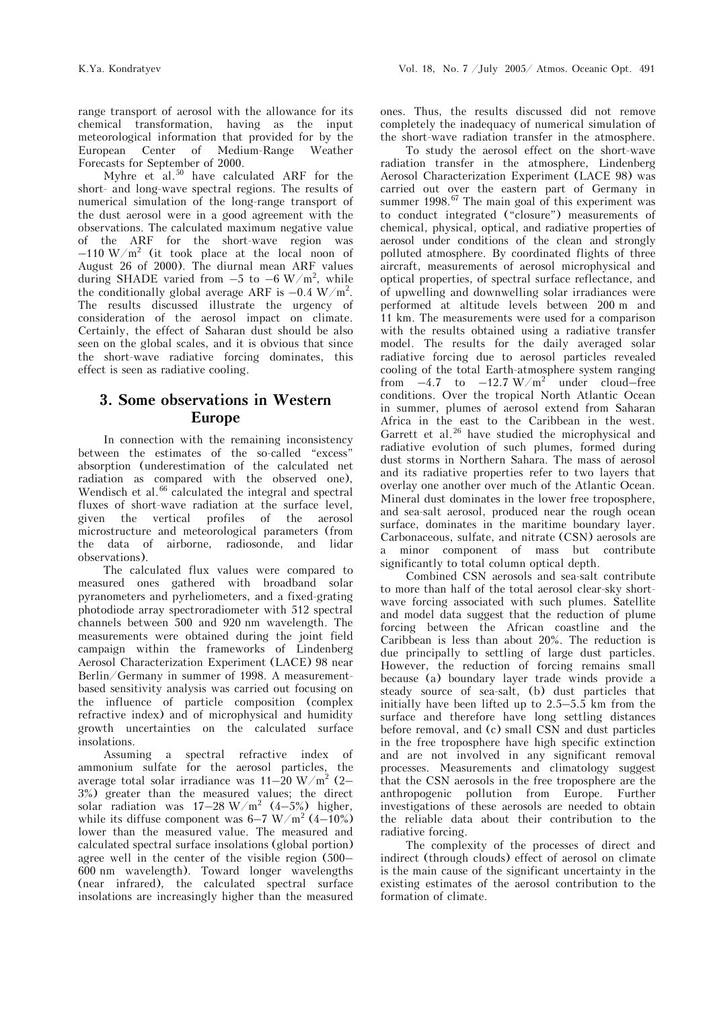range transport of aerosol with the allowance for its chemical transformation, having as the input meteorological information that provided for by the European Center of Medium-Range Weather Forecasts for September of 2000.

Myhre et al.<sup>50</sup> have calculated ARF for the short- and long-wave spectral regions. The results of numerical simulation of the long-range transport of the dust aerosol were in a good agreement with the observations. The calculated maximum negative value of the ARF for the short-wave region was  $-110 \text{ W/m}^2$  (it took place at the local noon of August 26 of 2000). The diurnal mean ARF values during SHADE varied from  $-5$  to  $-6$  W/m<sup>2</sup>, while the conditionally global average ARF is  $-0.4 \text{ W/m}^2$ . The results discussed illustrate the urgency of consideration of the aerosol impact on climate. Certainly, the effect of Saharan dust should be also seen on the global scales, and it is obvious that since the short-wave radiative forcing dominates, this effect is seen as radiative cooling.

# **3. Some observations in Western Europe**

In connection with the remaining inconsistency between the estimates of the so-called "excess" absorption (underestimation of the calculated net radiation as compared with the observed one), Wendisch et al.<sup>66</sup> calculated the integral and spectral fluxes of short-wave radiation at the surface level, given the vertical profiles of the aerosol microstructure and meteorological parameters (from the data of airborne, radiosonde, and lidar observations).

The calculated flux values were compared to measured ones gathered with broadband solar pyranometers and pyrheliometers, and a fixed-grating photodiode array spectroradiometer with 512 spectral channels between 500 and 920 nm wavelength. The measurements were obtained during the joint field campaign within the frameworks of Lindenberg Aerosol Characterization Experiment (LACE) 98 near Berlin/Germany in summer of 1998. A measurementbased sensitivity analysis was carried out focusing on the influence of particle composition (complex refractive index) and of microphysical and humidity growth uncertainties on the calculated surface insolations.

Assuming a spectral refractive index of ammonium sulfate for the aerosol particles, the average total solar irradiance was 11 $-20\;\mathrm{W/m^2}$  (2– 3%) greater than the measured values; the direct solar radiation was  $17-28$  W/m<sup>2</sup> (4-5%) higher, while its diffuse component was  $6-7$  W/m<sup>2</sup> (4–10%) lower than the measured value. The measured and calculated spectral surface insolations (global portion) agree well in the center of the visible region (500– 600 nm wavelength). Toward longer wavelengths (near infrared), the calculated spectral surface insolations are increasingly higher than the measured

ones. Thus, the results discussed did not remove completely the inadequacy of numerical simulation of the short-wave radiation transfer in the atmosphere.

 To study the aerosol effect on the short-wave radiation transfer in the atmosphere, Lindenberg Aerosol Characterization Experiment (LACE 98) was carried out over the eastern part of Germany in summer  $1998<sup>67</sup>$  The main goal of this experiment was to conduct integrated ("closure") measurements of chemical, physical, optical, and radiative properties of aerosol under conditions of the clean and strongly polluted atmosphere. By coordinated flights of three aircraft, measurements of aerosol microphysical and optical properties, of spectral surface reflectance, and of upwelling and downwelling solar irradiances were performed at altitude levels between 200 m and 11 km. The measurements were used for a comparison with the results obtained using a radiative transfer model. The results for the daily averaged solar radiative forcing due to aerosol particles revealed cooling of the total Earth-atmosphere system ranging from  $-4.7$  to  $-12.7 \text{ W/m}^2$  under cloud–free conditions. Over the tropical North Atlantic Ocean in summer, plumes of aerosol extend from Saharan Africa in the east to the Caribbean in the west. Garrett et al.<sup>26</sup> have studied the microphysical and radiative evolution of such plumes, formed during dust storms in Northern Sahara. The mass of aerosol and its radiative properties refer to two layers that overlay one another over much of the Atlantic Ocean. Mineral dust dominates in the lower free troposphere, and sea-salt aerosol, produced near the rough ocean surface, dominates in the maritime boundary layer. Carbonaceous, sulfate, and nitrate (CSN) aerosols are a minor component of mass but contribute significantly to total column optical depth.

Combined CSN aerosols and sea-salt contribute to more than half of the total aerosol clear-sky shortwave forcing associated with such plumes. Satellite and model data suggest that the reduction of plume forcing between the African coastline and the Caribbean is less than about 20%. The reduction is due principally to settling of large dust particles. However, the reduction of forcing remains small because (a) boundary layer trade winds provide a steady source of sea-salt, (b) dust particles that initially have been lifted up to  $2.5-5.5$  km from the surface and therefore have long settling distances before removal, and (c) small CSN and dust particles in the free troposphere have high specific extinction and are not involved in any significant removal processes. Measurements and climatology suggest that the CSN aerosols in the free troposphere are the anthropogenic pollution from Europe. Further investigations of these aerosols are needed to obtain the reliable data about their contribution to the radiative forcing.

The complexity of the processes of direct and indirect (through clouds) effect of aerosol on climate is the main cause of the significant uncertainty in the existing estimates of the aerosol contribution to the formation of climate.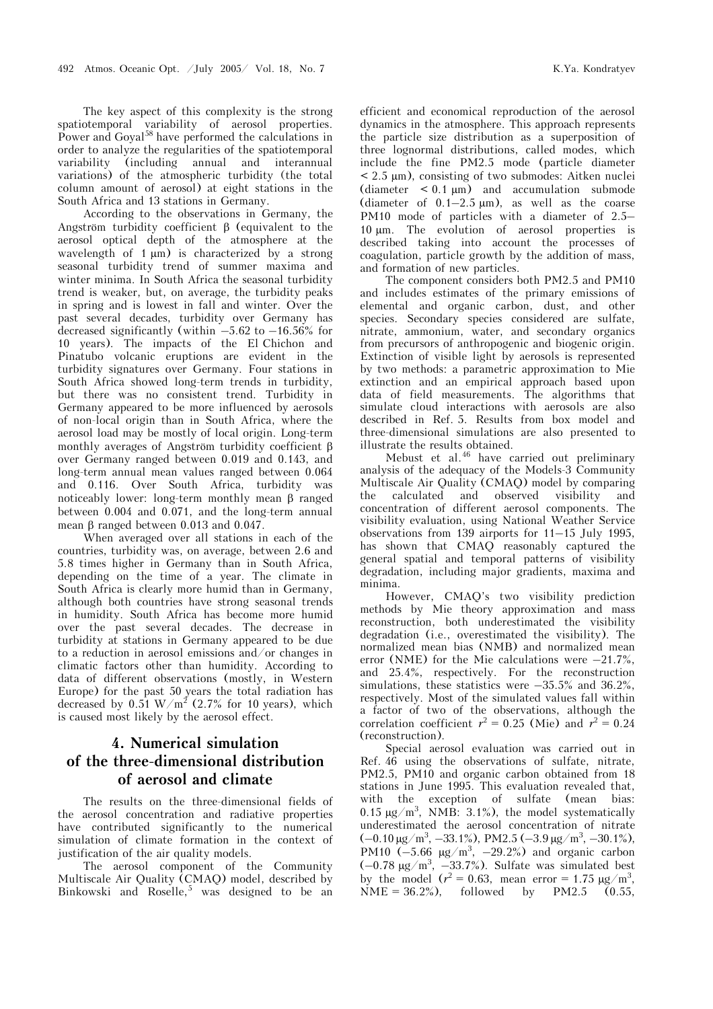The key aspect of this complexity is the strong spatiotemporal variability of aerosol properties. Power and Goyal<sup>58</sup> have performed the calculations in order to analyze the regularities of the spatiotemporal variability (including annual and interannual variations) of the atmospheric turbidity (the total column amount of aerosol) at eight stations in the South Africa and 13 stations in Germany.

According to the observations in Germany, the Angström turbidity coefficient β (equivalent to the aerosol optical depth of the atmosphere at the wavelength of 1  $\mu$ m) is characterized by a strong seasonal turbidity trend of summer maxima and winter minima. In South Africa the seasonal turbidity trend is weaker, but, on average, the turbidity peaks in spring and is lowest in fall and winter. Over the past several decades, turbidity over Germany has decreased significantly (within  $-5.62$  to  $-16.56\%$  for 10 years). The impacts of the El Chichon and Pinatubo volcanic eruptions are evident in the turbidity signatures over Germany. Four stations in South Africa showed long-term trends in turbidity, but there was no consistent trend. Turbidity in Germany appeared to be more influenced by aerosols of non-local origin than in South Africa, where the aerosol load may be mostly of local origin. Long-term monthly averages of Angström turbidity coefficient β over Germany ranged between 0.019 and 0.143, and long-term annual mean values ranged between 0.064 and 0.116. Over South Africa, turbidity was noticeably lower: long-term monthly mean β ranged between 0.004 and 0.071, and the long-term annual mean β ranged between 0.013 and 0.047.

When averaged over all stations in each of the countries, turbidity was, on average, between 2.6 and 5.8 times higher in Germany than in South Africa, depending on the time of a year. The climate in South Africa is clearly more humid than in Germany, although both countries have strong seasonal trends in humidity. South Africa has become more humid over the past several decades. The decrease in turbidity at stations in Germany appeared to be due to a reduction in aerosol emissions and/or changes in climatic factors other than humidity. According to data of different observations (mostly, in Western Europe) for the past 50 years the total radiation has decreased by  $0.51 \text{ W/m}^2$  (2.7% for 10 years), which is caused most likely by the aerosol effect.

# **4. Numerical simulation of the three-dimensional distribution of aerosol and climate**

The results on the three-dimensional fields of the aerosol concentration and radiative properties have contributed significantly to the numerical simulation of climate formation in the context of justification of the air quality models.

The aerosol component of the Community Multiscale Air Quality (CMAQ) model, described by Binkowski and Roselle,<sup>5</sup> was designed to be an efficient and economical reproduction of the aerosol dynamics in the atmosphere. This approach represents the particle size distribution as a superposition of three lognormal distributions, called modes, which include the fine PM2.5 mode (particle diameter < 2.5 µm), consisting of two submodes: Aitken nuclei (diameter  $\lt 0.1 \mu m$ ) and accumulation submode (diameter of  $0.1-2.5 \mu m$ ), as well as the coarse PM10 mode of particles with a diameter of 2.5– 10 µm. The evolution of aerosol properties is described taking into account the processes of coagulation, particle growth by the addition of mass, and formation of new particles.

The component considers both PM2.5 and PM10 and includes estimates of the primary emissions of elemental and organic carbon, dust, and other species. Secondary species considered are sulfate, nitrate, ammonium, water, and secondary organics from precursors of anthropogenic and biogenic origin. Extinction of visible light by aerosols is represented by two methods: a parametric approximation to Mie extinction and an empirical approach based upon data of field measurements. The algorithms that simulate cloud interactions with aerosols are also described in Ref. 5. Results from box model and three-dimensional simulations are also presented to illustrate the results obtained.

Mebust et al.<sup>46</sup> have carried out preliminary analysis of the adequacy of the Models-3 Community Multiscale Air Quality (CMAQ) model by comparing the calculated and observed visibility and concentration of different aerosol components. The visibility evaluation, using National Weather Service observations from 139 airports for 11–15 July 1995, has shown that CMAQ reasonably captured the general spatial and temporal patterns of visibility degradation, including major gradients, maxima and minima.

However, CMAQ's two visibility prediction methods by Mie theory approximation and mass reconstruction, both underestimated the visibility degradation (i.e., overestimated the visibility). The normalized mean bias (NMB) and normalized mean error (NME) for the Mie calculations were  $-21.7\%$ , and 25.4%, respectively. For the reconstruction simulations, these statistics were  $-35.5\%$  and  $36.2\%$ , respectively. Most of the simulated values fall within a factor of two of the observations, although the correlation coefficient  $r^2 = 0.25$  (Mie) and  $r^2 = 0.24$ (reconstruction).

Special aerosol evaluation was carried out in Ref. 46 using the observations of sulfate, nitrate, PM2.5, PM10 and organic carbon obtained from 18 stations in June 1995. This evaluation revealed that, with the exception of sulfate (mean bias: 0.15  $\mu$ g/m<sup>3</sup>, NMB: 3.1%), the model systematically underestimated the aerosol concentration of nitrate  $(-0.10 \,\mathrm{\mu g/m^3}, -33.1\%)$ , PM2.5  $(-3.9 \,\mathrm{\mu g/m^3}, -30.1\%)$ , PM10  $(-5.66 \text{ µg/m}^3, -29.2\%)$  and organic carbon  $(-0.78 \text{ µg/m}^3, -33.7\%)$ . Sulfate was simulated best by the model  $(r^2 = 0.63, \text{ mean error} = 1.75 \text{ µg/m}^3,$ NME =  $36.2\%$ ), followed by PM2.5 (0.55,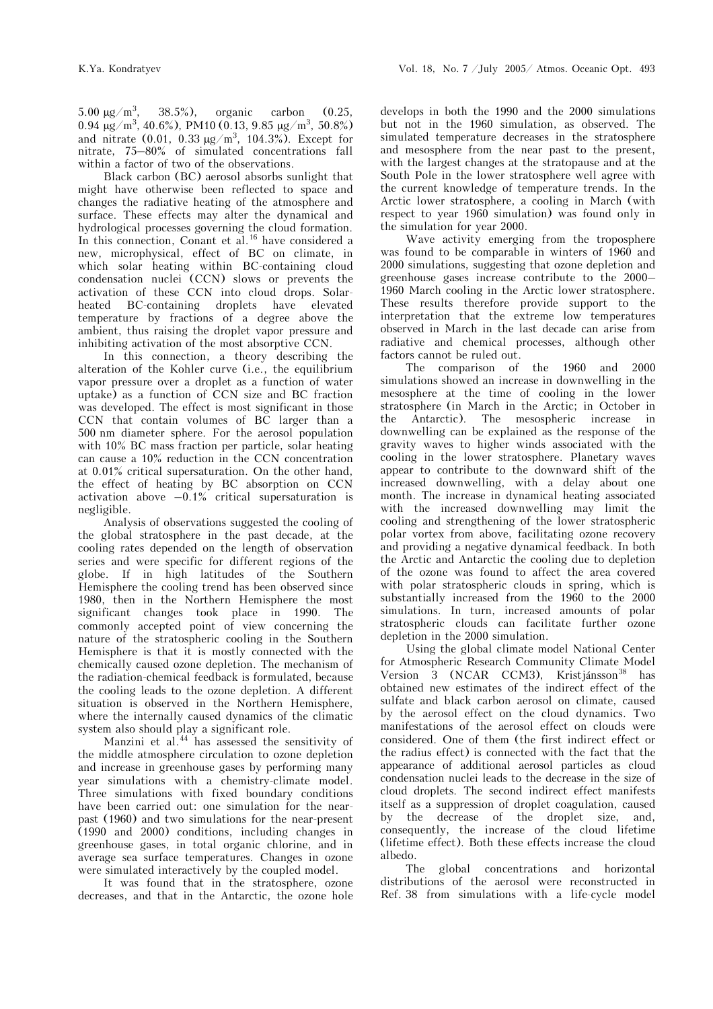5.00  $\mu$ g/m<sup>3</sup>, , 38.5%), organic carbon (0.25,  $0.94 \mu g/m^3$ , 40.6%), PM10 (0.13, 9.85 μg/m<sup>3</sup>, 50.8%) and nitrate  $(0.01, 0.33 \mu g/m^3, 104.3%)$ . Except for nitrate, 75–80% of simulated concentrations fall within a factor of two of the observations.

Black carbon (BC) aerosol absorbs sunlight that might have otherwise been reflected to space and changes the radiative heating of the atmosphere and surface. These effects may alter the dynamical and hydrological processes governing the cloud formation. In this connection, Conant et al.<sup>16</sup> have considered a new, microphysical, effect of BC on climate, in which solar heating within BC-containing cloud condensation nuclei (CCN) slows or prevents the activation of these CCN into cloud drops. Solarheated BC-containing droplets have elevated temperature by fractions of a degree above the ambient, thus raising the droplet vapor pressure and inhibiting activation of the most absorptive CCN.

In this connection, a theory describing the alteration of the Kohler curve (i.e., the equilibrium vapor pressure over a droplet as a function of water uptake) as a function of CCN size and BC fraction was developed. The effect is most significant in those CCN that contain volumes of BC larger than a 500 nm diameter sphere. For the aerosol population with 10% BC mass fraction per particle, solar heating can cause a 10% reduction in the CCN concentration at 0.01% critical supersaturation. On the other hand, the effect of heating by BC absorption on CCN activation above  $-0.1\%$  critical supersaturation is negligible.

Analysis of observations suggested the cooling of the global stratosphere in the past decade, at the cooling rates depended on the length of observation series and were specific for different regions of the globe. If in high latitudes of the Southern Hemisphere the cooling trend has been observed since 1980, then in the Northern Hemisphere the most significant changes took place in 1990. The commonly accepted point of view concerning the nature of the stratospheric cooling in the Southern Hemisphere is that it is mostly connected with the chemically caused ozone depletion. The mechanism of the radiation-chemical feedback is formulated, because the cooling leads to the ozone depletion. A different situation is observed in the Northern Hemisphere, where the internally caused dynamics of the climatic system also should play a significant role.

Manzini et al. $44$  has assessed the sensitivity of the middle atmosphere circulation to ozone depletion and increase in greenhouse gases by performing many year simulations with a chemistry-climate model. Three simulations with fixed boundary conditions have been carried out: one simulation for the nearpast (1960) and two simulations for the near-present (1990 and 2000) conditions, including changes in greenhouse gases, in total organic chlorine, and in average sea surface temperatures. Changes in ozone were simulated interactively by the coupled model.

It was found that in the stratosphere, ozone decreases, and that in the Antarctic, the ozone hole develops in both the 1990 and the 2000 simulations but not in the 1960 simulation, as observed. The simulated temperature decreases in the stratosphere and mesosphere from the near past to the present, with the largest changes at the stratopause and at the South Pole in the lower stratosphere well agree with the current knowledge of temperature trends. In the Arctic lower stratosphere, a cooling in March (with respect to year 1960 simulation) was found only in the simulation for year 2000.

Wave activity emerging from the troposphere was found to be comparable in winters of 1960 and 2000 simulations, suggesting that ozone depletion and greenhouse gases increase contribute to the 2000– 1960 March cooling in the Arctic lower stratosphere. These results therefore provide support to the interpretation that the extreme low temperatures observed in March in the last decade can arise from radiative and chemical processes, although other factors cannot be ruled out.

The comparison of the 1960 and 2000 simulations showed an increase in downwelling in the mesosphere at the time of cooling in the lower stratosphere (in March in the Arctic; in October in the Antarctic). The mesospheric increase in downwelling can be explained as the response of the gravity waves to higher winds associated with the cooling in the lower stratosphere. Planetary waves appear to contribute to the downward shift of the increased downwelling, with a delay about one month. The increase in dynamical heating associated with the increased downwelling may limit the cooling and strengthening of the lower stratospheric polar vortex from above, facilitating ozone recovery and providing a negative dynamical feedback. In both the Arctic and Antarctic the cooling due to depletion of the ozone was found to affect the area covered with polar stratospheric clouds in spring, which is substantially increased from the 1960 to the 2000 simulations. In turn, increased amounts of polar stratospheric clouds can facilitate further ozone depletion in the 2000 simulation.

Using the global climate model National Center for Atmospheric Research Community Climate Model Version 3 (NCAR CCM3), Kristjánsson<sup>38</sup> has obtained new estimates of the indirect effect of the sulfate and black carbon aerosol on climate, caused by the aerosol effect on the cloud dynamics. Two manifestations of the aerosol effect on clouds were considered. One of them (the first indirect effect or the radius effect) is connected with the fact that the appearance of additional aerosol particles as cloud condensation nuclei leads to the decrease in the size of cloud droplets. The second indirect effect manifests itself as a suppression of droplet coagulation, caused by the decrease of the droplet size, and, consequently, the increase of the cloud lifetime (lifetime effect). Both these effects increase the cloud albedo.

The global concentrations and horizontal distributions of the aerosol were reconstructed in Ref. 38 from simulations with a life-cycle model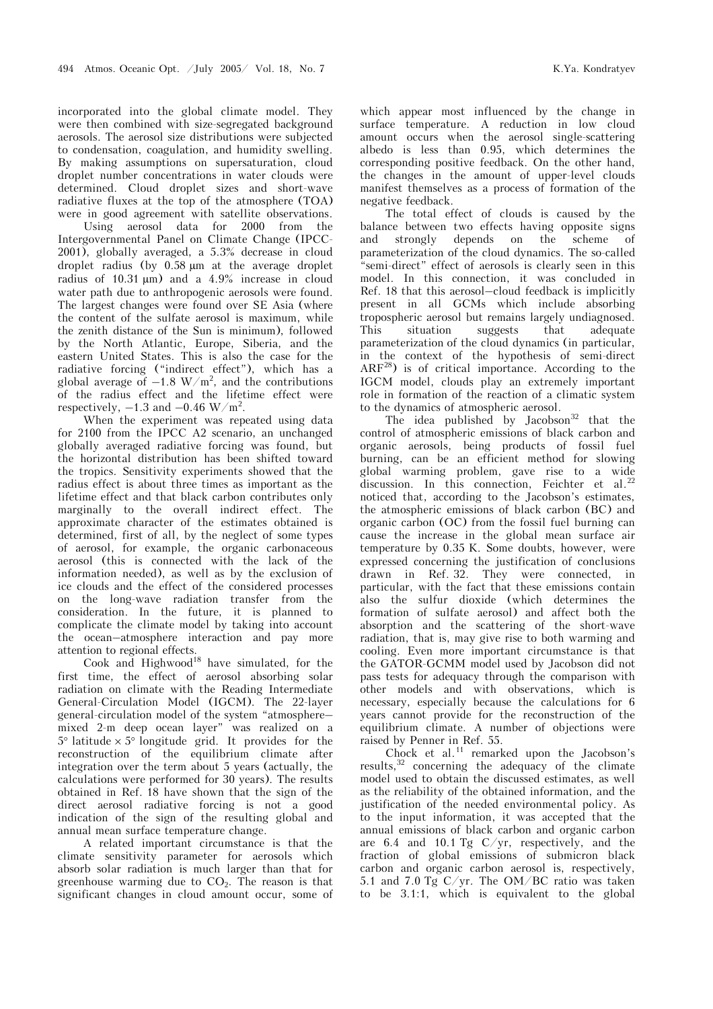incorporated into the global climate model. They were then combined with size-segregated background aerosols. The aerosol size distributions were subjected to condensation, coagulation, and humidity swelling. By making assumptions on supersaturation, cloud droplet number concentrations in water clouds were determined. Cloud droplet sizes and short-wave radiative fluxes at the top of the atmosphere (TOA) were in good agreement with satellite observations.

 Using aerosol data for 2000 from the Intergovernmental Panel on Climate Change (IPCC-2001), globally averaged, a 5.3% decrease in cloud droplet radius (by 0.58 µm at the average droplet radius of  $10.31 \mu m$ ) and a  $4.9\%$  increase in cloud water path due to anthropogenic aerosols were found. The largest changes were found over SE Asia (where the content of the sulfate aerosol is maximum, while the zenith distance of the Sun is minimum), followed by the North Atlantic, Europe, Siberia, and the eastern United States. This is also the case for the radiative forcing ("indirect effect"), which has a global average of  $-1.8 \text{ W/m}^2$ , and the contributions of the radius effect and the lifetime effect were respectively,  $-1.3$  and  $-0.46$  W/m<sup>2</sup>.

When the experiment was repeated using data for 2100 from the IPCC A2 scenario, an unchanged globally averaged radiative forcing was found, but the horizontal distribution has been shifted toward the tropics. Sensitivity experiments showed that the radius effect is about three times as important as the lifetime effect and that black carbon contributes only marginally to the overall indirect effect. The approximate character of the estimates obtained is determined, first of all, by the neglect of some types of aerosol, for example, the organic carbonaceous aerosol (this is connected with the lack of the information needed), as well as by the exclusion of ice clouds and the effect of the considered processes on the long-wave radiation transfer from the consideration. In the future, it is planned to complicate the climate model by taking into account the ocean–atmosphere interaction and pay more attention to regional effects.

Cook and Highwood<sup>18</sup> have simulated, for the first time, the effect of aerosol absorbing solar radiation on climate with the Reading Intermediate General-Circulation Model (IGCM). The 22-layer general-circulation model of the system "atmosphere– mixed 2-m deep ocean layer" was realized on a  $5^{\circ}$  latitude  $\times$  5° longitude grid. It provides for the reconstruction of the equilibrium climate after integration over the term about 5 years (actually, the calculations were performed for 30 years). The results obtained in Ref. 18 have shown that the sign of the direct aerosol radiative forcing is not a good indication of the sign of the resulting global and annual mean surface temperature change.

A related important circumstance is that the climate sensitivity parameter for aerosols which absorb solar radiation is much larger than that for greenhouse warming due to  $CO<sub>2</sub>$ . The reason is that significant changes in cloud amount occur, some of which appear most influenced by the change in surface temperature. A reduction in low cloud amount occurs when the aerosol single-scattering albedo is less than 0.95, which determines the corresponding positive feedback. On the other hand, the changes in the amount of upper-level clouds manifest themselves as a process of formation of the negative feedback.

The total effect of clouds is caused by the balance between two effects having opposite signs and strongly depends on the scheme of parameterization of the cloud dynamics. The so-called "semi-direct" effect of aerosols is clearly seen in this model. In this connection, it was concluded in Ref. 18 that this aerosol–cloud feedback is implicitly present in all GCMs which include absorbing tropospheric aerosol but remains largely undiagnosed. This situation suggests that adequate parameterization of the cloud dynamics (in particular, in the context of the hypothesis of semi-direct ARF28) is of critical importance. According to the IGCM model, clouds play an extremely important role in formation of the reaction of a climatic system to the dynamics of atmospheric aerosol.

The idea published by Jacobson<sup>32</sup> that the control of atmospheric emissions of black carbon and organic aerosols, being products of fossil fuel burning, can be an efficient method for slowing global warming problem, gave rise to a wide discussion. In this connection, Feichter et al.<sup>22</sup> noticed that, according to the Jacobson's estimates, the atmospheric emissions of black carbon (BC) and organic carbon (OC) from the fossil fuel burning can cause the increase in the global mean surface air temperature by 0.35 K. Some doubts, however, were expressed concerning the justification of conclusions drawn in Ref. 32. They were connected, in particular, with the fact that these emissions contain also the sulfur dioxide (which determines the formation of sulfate aerosol) and affect both the absorption and the scattering of the short-wave radiation, that is, may give rise to both warming and cooling. Even more important circumstance is that the GATOR-GCMM model used by Jacobson did not pass tests for adequacy through the comparison with other models and with observations, which is necessary, especially because the calculations for 6 years cannot provide for the reconstruction of the equilibrium climate. A number of objections were raised by Penner in Ref. 55.

Chock et al.<sup>11</sup> remarked upon the Jacobson's results, $32$  concerning the adequacy of the climate model used to obtain the discussed estimates, as well as the reliability of the obtained information, and the justification of the needed environmental policy. As to the input information, it was accepted that the annual emissions of black carbon and organic carbon are 6.4 and 10.1 Tg  $C/yr$ , respectively, and the fraction of global emissions of submicron black carbon and organic carbon aerosol is, respectively, 5.1 and 7.0 Tg  $C/yr$ . The OM/BC ratio was taken to be 3.1:1, which is equivalent to the global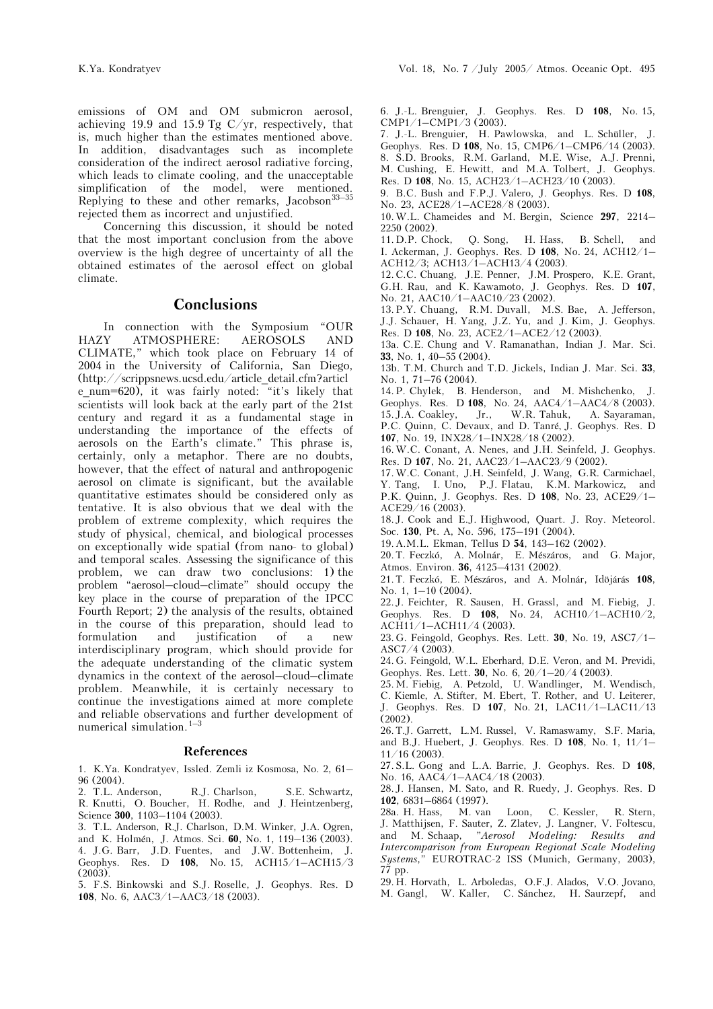emissions of OM and OM submicron aerosol, achieving 19.9 and 15.9 Tg  $C/yr$ , respectively, that is, much higher than the estimates mentioned above. In addition, disadvantages such as incomplete consideration of the indirect aerosol radiative forcing, which leads to climate cooling, and the unacceptable simplification of the model, were mentioned. Replying to these and other remarks, Jacobson<sup>33-35</sup> rejected them as incorrect and unjustified.

Concerning this discussion, it should be noted that the most important conclusion from the above overview is the high degree of uncertainty of all the obtained estimates of the aerosol effect on global climate.

### **Conclusions**

In connection with the Symposium "OUR HAZY ATMOSPHERE: AEROSOLS AND CLIMATE," which took place on February 14 of 2004 in the University of California, San Diego, (http://scrippsnews.ucsd.edu/article\_detail.cfm?articl e\_num=620), it was fairly noted: "it's likely that scientists will look back at the early part of the 21st century and regard it as a fundamental stage in understanding the importance of the effects of aerosols on the Earth's climate." This phrase is, certainly, only a metaphor. There are no doubts, however, that the effect of natural and anthropogenic aerosol on climate is significant, but the available quantitative estimates should be considered only as tentative. It is also obvious that we deal with the problem of extreme complexity, which requires the study of physical, chemical, and biological processes on exceptionally wide spatial (from nano- to global) and temporal scales. Assessing the significance of this problem, we can draw two conclusions: 1) the problem "aerosol–cloud–climate" should occupy the key place in the course of preparation of the IPCC Fourth Report; 2) the analysis of the results, obtained in the course of this preparation, should lead to formulation and justification of a new interdisciplinary program, which should provide for the adequate understanding of the climatic system dynamics in the context of the aerosol–cloud–climate problem. Meanwhile, it is certainly necessary to continue the investigations aimed at more complete and reliable observations and further development of numerical simulation.<sup>1-3</sup>

#### **References**

1. K.Ya. Kondratyev, Issled. Zemli iz Kosmosa, No. 2, 61– 96 (2004).

2. T.L. Anderson, R.J. Charlson, S.E. Schwartz, R. Knutti, O. Boucher, H. Rodhe, and J. Heintzenberg, Science **300**, 1103–1104 (2003).

3. T.L. Anderson, R.J. Charlson, D.M. Winker, J.A. Ogren, and K. Holmén, J. Atmos. Sci. **60**, No. 1, 119–136 (2003). 4. J.G. Barr, J.D. Fuentes, and J.W. Bottenheim, J. Geophys. Res. D **108**, No. 15, ACH15/1–ACH15/3  $(2003)$ .

5. F.S. Binkowski and S.J. Roselle, J. Geophys. Res. D **108**, No. 6, AAC3/1–AAC3/18 (2003).

6. J.-L. Brenguier, J. Geophys. Res. D **108**, No. 15, CMP1/1–CMP1/3 (2003).

7. J.-L. Brenguier, H. Pawlowska, and L. Schüller, J. Geophys. Res. D **108**, No. 15, CMP6/1–CMP6/14 (2003). 8. S.D. Brooks, R.M. Garland, M.E. Wise, A.J. Prenni, M. Cushing, E. Hewitt, and M.A. Tolbert, J. Geophys. Res. D **108**, No. 15, ACH23/1–ACH23/10 (2003).

9. B.C. Bush and F.P.J. Valero, J. Geophys. Res. D **108**, No. 23, ACE28/1–ACE28/8 (2003).

10.W.L. Chameides and M. Bergin, Science **297**, 2214– 2250 (2002).<br>11. D.P. Chock,

Q. Song, H. Hass, B. Schell, and I. Ackerman, J. Geophys. Res. D **108**, No. 24, ACH12/1– ACH12/3; ACH13/1–ACH13/4 (2003).

12.C.C. Chuang, J.E. Penner, J.M. Prospero, K.E. Grant, G.H. Rau, and K. Kawamoto, J. Geophys. Res. D **107**, No. 21, AAC10/1–AAC10/23 (2002).

13.P.Y. Chuang, R.M. Duvall, M.S. Bae, A. Jefferson, J.J. Schauer, H. Yang, J.Z. Yu, and J. Kim, J. Geophys. Res. D **108**, No. 23, ACE2/1–ACE2/12 (2003).

13a. C.E. Chung and V. Ramanathan, Indian J. Mar. Sci. **33**, No. 1, 40–55 (2004).

13b. T.M. Church and T.D. Jickels, Indian J. Mar. Sci. **33**, No. 1, 71–76 (2004).

14.P. Chylek, B. Henderson, and M. Mishchenko, J. Geophys. Res. D **108**, No. 24, AAC4/1–AAC4/8 (2003). 15.J.A. Coakley, Jr., W.R. Tahuk, A. Sayaraman,

P.C. Quinn, C. Devaux, and D. Tanré, J. Geophys. Res. D **107**, No. 19, INX28/1–INX28/18 (2002).

16.W.C. Conant, A. Nenes, and J.H. Seinfeld, J. Geophys. Res. D **107**, No. 21, AAC23/1–AAC23/9 (2002).

17.W.C. Conant, J.H. Seinfeld, J. Wang, G.R. Carmichael, Y. Tang, I. Uno, P.J. Flatau, K.M. Markowicz, and P.K. Quinn, J. Geophys. Res. D **108**, No. 23, ACE29/1– ACE29/16 (2003).

18.J. Cook and E.J. Highwood, Quart. J. Roy. Meteorol. Soc. **130**, Pt. A, No. 596, 175–191 (2004).

19.A.M.L. Ekman, Tellus D **54**, 143–162 (2002).

20.T. Feczkó, A. Molnár, E. Mészáros, and G. Major, Atmos. Environ. **36**, 4125–4131 (2002).

21.T. Feczkó, E. Mészáros, and A. Molnár, Idöjárás **108**, No. 1, 1–10 (2004).

22.J. Feichter, R. Sausen, H. Grassl, and M. Fiebig, J. Geophys. Res. D **108**, No. 24, ACH10/1–ACH10/2, ACH11/1–ACH11/4 (2003).

23.G. Feingold, Geophys. Res. Lett. **30**, No. 19, ASC7/1– ASC7/4 (2003).

24.G. Feingold, W.L. Eberhard, D.E. Veron, and M. Previdi, Geophys. Res. Lett. **30**, No. 6, 20/1–20/4 (2003).

25.M. Fiebig, A. Petzold, U. Wandlinger, M. Wendisch,

C. Kiemle, A. Stifter, M. Ebert, T. Rother, and U. Leiterer, J. Geophys. Res. D **107**, No. 21, LAC11/1–LAC11/13 (2002).

26.T.J. Garrett, L.M. Russel, V. Ramaswamy, S.F. Maria, and B.J. Huebert, J. Geophys. Res. D **108**, No. 1, 11/1– 11/16 (2003).

27.S.L. Gong and L.A. Barrie, J. Geophys. Res. D **108**, No. 16, AAC4/1–AAC4/18 (2003).

28.J. Hansen, M. Sato, and R. Ruedy, J. Geophys. Res. D **102**, 6831–6864 (1997).

28a. H. Hass, M. van Loon, C. Kessler, R. Stern, J. Matthijsen, F. Sauter, Z. Zlatev, J. Langner, V. Foltescu, and M. Schaap, "*Aerosol Modeling: Results and Intercomparison from European Regional Scale Modeling Systems*," EUROTRAC-2 ISS (Munich, Germany, 2003), 77 pp.

29.H. Horvath, L. Arboledas, O.F.J. Alados, V.O. Jovano, M. Gangl, W. Kaller, C. Sánchez, H. Saurzepf, and